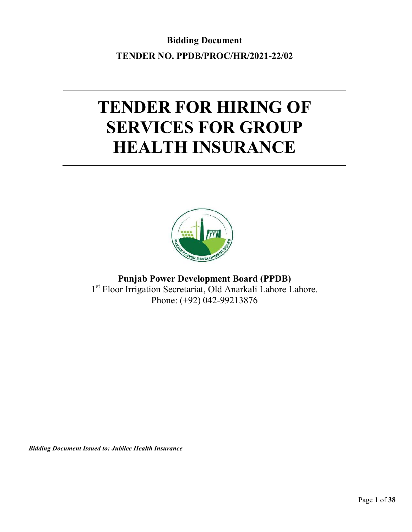**Bidding Document TENDER NO. PPDB/PROC/HR/2021-22/02**

# **TENDER FOR HIRING OF SERVICES FOR GROUP HEALTH INSURANCE**



**Punjab Power Development Board (PPDB)** 1<sup>st</sup> Floor Irrigation Secretariat, Old Anarkali Lahore Lahore. Phone: (+92) 042-99213876

*Bidding Document Issued to: Jubilee Health Insurance*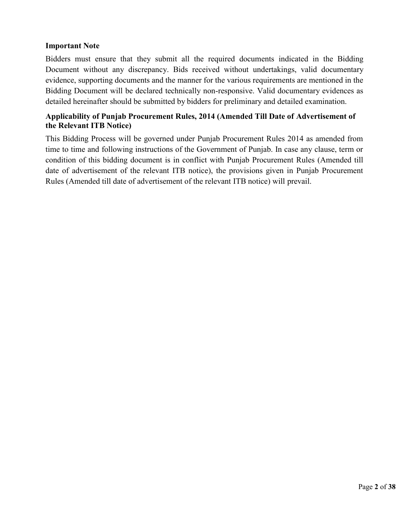#### **Important Note**

Bidders must ensure that they submit all the required documents indicated in the Bidding Document without any discrepancy. Bids received without undertakings, valid documentary evidence, supporting documents and the manner for the various requirements are mentioned in the Bidding Document will be declared technically non-responsive. Valid documentary evidences as detailed hereinafter should be submitted by bidders for preliminary and detailed examination.

### **Applicability of Punjab Procurement Rules, 2014 (Amended Till Date of Advertisement of the Relevant ITB Notice)**

This Bidding Process will be governed under Punjab Procurement Rules 2014 as amended from time to time and following instructions of the Government of Punjab. In case any clause, term or condition of this bidding document is in conflict with Punjab Procurement Rules (Amended till date of advertisement of the relevant ITB notice), the provisions given in Punjab Procurement Rules (Amended till date of advertisement of the relevant ITB notice) will prevail.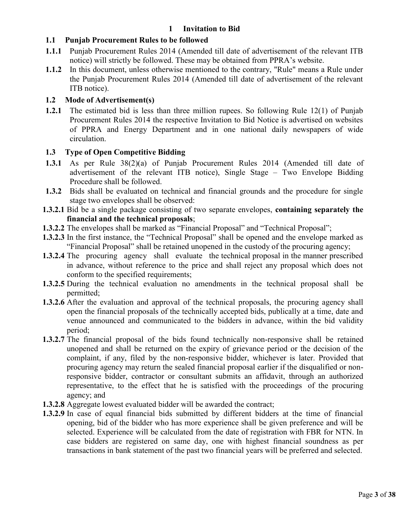#### **1 Invitation to Bid**

#### **1.1 Punjab Procurement Rules to be followed**

- **1.1.1** Punjab Procurement Rules 2014 (Amended till date of advertisement of the relevant ITB notice) will strictly be followed. These may be obtained from PPRA's website.
- **1.1.2** In this document, unless otherwise mentioned to the contrary, "Rule" means a Rule under the Punjab Procurement Rules 2014 (Amended till date of advertisement of the relevant ITB notice).

#### **1.2 Mode of Advertisement(s)**

**1.2.1** The estimated bid is less than three million rupees. So following Rule 12(1) of Punjab Procurement Rules 2014 the respective Invitation to Bid Notice is advertised on websites of PPRA and Energy Department and in one national daily newspapers of wide circulation.

#### **1.3 Type of Open Competitive Bidding**

- **1.3.1** As per Rule 38(2)(a) of Punjab Procurement Rules 2014 (Amended till date of advertisement of the relevant ITB notice), Single Stage – Two Envelope Bidding Procedure shall be followed.
- **1.3.2** Bids shall be evaluated on technical and financial grounds and the procedure for single stage two envelopes shall be observed:
- **1.3.2.1** Bid be a single package consisting of two separate envelopes, **containing separately the financial and the technical proposals**;
- **1.3.2.2** The envelopes shall be marked as "Financial Proposal" and "Technical Proposal";
- **1.3.2.3** In the first instance, the "Technical Proposal" shall be opened and the envelope marked as "Financial Proposal" shall be retained unopened in the custody of the procuring agency;
- **1.3.2.4** The procuring agency shall evaluate the technical proposal in the manner prescribed in advance, without reference to the price and shall reject any proposal which does not conform to the specified requirements:
- **1.3.2.5** During the technical evaluation no amendments in the technical proposal shall be permitted;
- **1.3.2.6** After the evaluation and approval of the technical proposals, the procuring agency shall open the financial proposals of the technically accepted bids, publically at a time, date and venue announced and communicated to the bidders in advance, within the bid validity period;
- **1.3.2.7** The financial proposal of the bids found technically non-responsive shall be retained unopened and shall be returned on the expiry of grievance period or the decision of the complaint, if any, filed by the non-responsive bidder, whichever is later. Provided that procuring agency may return the sealed financial proposal earlier if the disqualified or nonresponsive bidder, contractor or consultant submits an affidavit, through an authorized representative, to the effect that he is satisfied with the proceedings of the procuring agency; and
- **1.3.2.8** Aggregate lowest evaluated bidder will be awarded the contract;
- **1.3.2.9** In case of equal financial bids submitted by different bidders at the time of financial opening, bid of the bidder who has more experience shall be given preference and will be selected. Experience will be calculated from the date of registration with FBR for NTN. In case bidders are registered on same day, one with highest financial soundness as per transactions in bank statement of the past two financial years will be preferred and selected.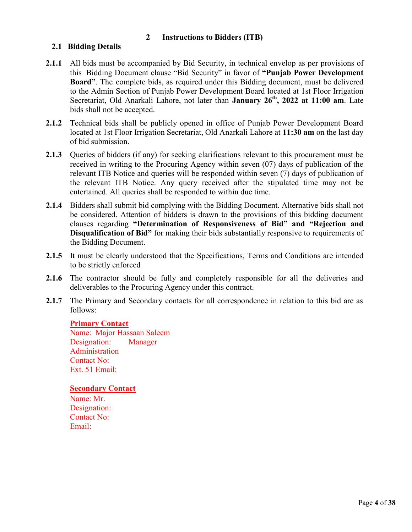#### **2 Instructions to Bidders (ITB)**

#### **2.1 Bidding Details**

- **2.1.1** All bids must be accompanied by Bid Security, in technical envelop as per provisions of this Bidding Document clause "Bid Security" in favor of **"Punjab Power Development Board"**. The complete bids, as required under this Bidding document, must be delivered to the Admin Section of Punjab Power Development Board located at 1st Floor Irrigation Secretariat, Old Anarkali Lahore, not later than **January 26 th, 2022 at 11:00 am**. Late bids shall not be accepted.
- **2.1.2** Technical bids shall be publicly opened in office of Punjab Power Development Board located at 1st Floor Irrigation Secretariat, Old Anarkali Lahore at **11:30 am** on the last day of bid submission.
- **2.1.3** Queries of bidders (if any) for seeking clarifications relevant to this procurement must be received in writing to the Procuring Agency within seven (07) days of publication of the relevant ITB Notice and queries will be responded within seven (7) days of publication of the relevant ITB Notice. Any query received after the stipulated time may not be entertained. All queries shall be responded to within due time.
- **2.1.4** Bidders shall submit bid complying with the Bidding Document. Alternative bids shall not be considered. Attention of bidders is drawn to the provisions of this bidding document clauses regarding **"Determination of Responsiveness of Bid" and "Rejection and Disqualification of Bid"** for making their bids substantially responsive to requirements of the Bidding Document.
- 2.1.5 It must be clearly understood that the Specifications, Terms and Conditions are intended to be strictly enforced
- **2.1.6** The contractor should be fully and completely responsible for all the deliveries and deliverables to the Procuring Agency under this contract.
- 2.1.7 The Primary and Secondary contacts for all correspondence in relation to this bid are as follows:

#### **Primary Contact**

Name: Major Hassaan Saleem Designation: Manager Administration Contact No: Ext. 51 Email:

#### **Secondary Contact**

Name: Mr. Designation: Contact No: Email: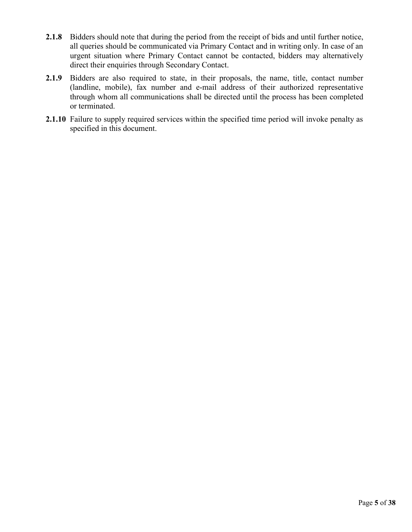- **2.1.8** Bidders should note that during the period from the receipt of bids and until further notice, all queries should be communicated via Primary Contact and in writing only. In case of an urgent situation where Primary Contact cannot be contacted, bidders may alternatively direct their enquiries through Secondary Contact.
- **2.1.9** Bidders are also required to state, in their proposals, the name, title, contact number (landline, mobile), fax number and e-mail address of their authorized representative through whom all communications shall be directed until the process has been completed or terminated.
- **2.1.10** Failure to supply required services within the specified time period will invoke penalty as specified in this document.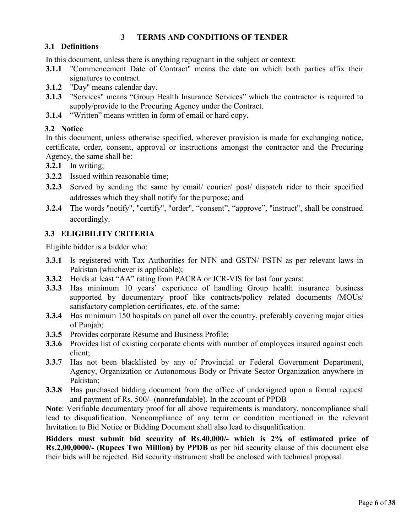#### **3 TERMS AND CONDITIONS OF TENDER**

### **3.1 Definitions**

In this document, unless there is anything repugnant in the subject or context:

- **3.1.1** "Commencement Date of Contract" means the date on which both parties affix their signatures to contract.
- **3.1.2** "Day" means calendar day.
- **3.1.3** "Services" means "Group Health Insurance Services" which the contractor is required to supply/provide to the Procuring Agency under the Contract.
- **3.1.4** "Written" means written in form of email or hard copy.

#### **3.2 Notice**

In this document, unless otherwise specified, wherever provision is made for exchanging notice, certificate, order, consent, approval or instructions amongst the contractor and the Procuring Agency, the same shall be:

- **3.2.1** In writing;
- **3.2.2** Issued within reasonable time;
- **3.2.3** Served by sending the same by email/ courier/ post/ dispatch rider to their specified addresses which they shall notify for the purpose; and
- **3.2.4** The words "notify", "certify", "order", "consent", "approve", "instruct", shall be construed accordingly.

### **3.3 ELIGIBILITY CRITERIA**

Eligible bidder is a bidder who:

- **3.3.1** Is registered with Tax Authorities for NTN and GSTN/ PSTN as per relevant laws in Pakistan (whichever is applicable);
- **3.3.2** Holds at least "AA" rating from PACRA or JCR-VIS for last four years;
- **3.3.3** Has minimum 10 years' experience of handling Group health insurance business supported by documentary proof like contracts/policy related documents /MOUs/ satisfactory completion certificates, etc. of the same;
- **3.3.4** Has minimum 150 hospitals on panel all over the country, preferably covering major cities of Punjab;
- **3.3.5** Provides corporate Resume and Business Profile;
- **3.3.6** Provides list of existing corporate clients with number of employees insured against each client;
- **3.3.7** Has not been blacklisted by any of Provincial or Federal Government Department, Agency, Organization or Autonomous Body or Private Sector Organization anywhere in Pakistan;
- **3.3.8** Has purchased bidding document from the office of undersigned upon a formal request and payment of Rs. 500/- (nonrefundable). In the account of PPDB

**Note**: Verifiable documentary proof for all above requirements is mandatory, noncompliance shall lead to disqualification. Noncompliance of any term or condition mentioned in the relevant Invitation to Bid Notice or Bidding Document shall also lead to disqualification.

**Bidders must submit bid security of Rs.40,000/- which is 2% of estimated price of Rs.2,00,0000/- (Rupees Two Million) by PPDB** as per bid security clause of this document else their bids will be rejected. Bid security instrument shall be enclosed with technical proposal.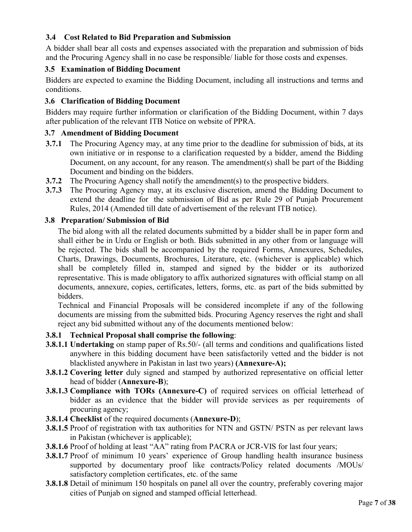### **3.4 Cost Related to Bid Preparation and Submission**

A bidder shall bear all costs and expenses associated with the preparation and submission of bids and the Procuring Agency shall in no case be responsible/ liable for those costs and expenses.

#### **3.5 Examination of Bidding Document**

Bidders are expected to examine the Bidding Document, including all instructions and terms and conditions.

#### **3.6 Clarification of Bidding Document**

Bidders may require further information or clarification of the Bidding Document, within 7 days after publication of the relevant ITB Notice on website of PPRA.

#### **3.7 Amendment of Bidding Document**

- **3.7.1** The Procuring Agency may, at any time prior to the deadline for submission of bids, at its own initiative or in response to a clarification requested by a bidder, amend the Bidding Document, on any account, for any reason. The amendment(s) shall be part of the Bidding Document and binding on the bidders.
- **3.7.2** The Procuring Agency shall notify the amendment(s) to the prospective bidders.
- **3.7.3** The Procuring Agency may, at its exclusive discretion, amend the Bidding Document to extend the deadline for the submission of Bid as per Rule 29 of Punjab Procurement Rules, 2014 (Amended till date of advertisement of the relevant ITB notice).

#### **3.8 Preparation/ Submission of Bid**

The bid along with all the related documents submitted by a bidder shall be in paper form and shall either be in Urdu or English or both. Bids submitted in any other from or language will be rejected. The bids shall be accompanied by the required Forms, Annexures, Schedules, Charts, Drawings, Documents, Brochures, Literature, etc. (whichever is applicable) which shall be completely filled in, stamped and signed by the bidder or its authorized representative. This is made obligatory to affix authorized signatures with official stamp on all documents, annexure, copies, certificates, letters, forms, etc. as part of the bids submitted by bidders.

Technical and Financial Proposals will be considered incomplete if any of the following documents are missing from the submitted bids. Procuring Agency reserves the right and shall reject any bid submitted without any of the documents mentioned below:

#### **3.8.1 Technical Proposal shall comprise the following**:

- **3.8.1.1 Undertaking** on stamp paper of Rs.50/- (all terms and conditions and qualifications listed anywhere in this bidding document have been satisfactorily vetted and the bidder is not blacklisted anywhere in Pakistan in last two years) **(Annexure-A);**
- **3.8.1.2 Covering letter** duly signed and stamped by authorized representative on official letter head of bidder (**Annexure-B**);
- **3.8.1.3 Compliance with TORs (Annexure-C)** of required services on official letterhead of bidder as an evidence that the bidder will provide services as per requirements of procuring agency;
- **3.8.1.4 Checklist** of the required documents (**Annexure-D**);
- **3.8.1.5** Proof of registration with tax authorities for NTN and GSTN/ PSTN as per relevant laws in Pakistan (whichever is applicable);
- **3.8.1.6** Proof of holding at least "AA" rating from PACRA or JCR-VIS for last four years;
- **3.8.1.7** Proof of minimum 10 years' experience of Group handling health insurance business supported by documentary proof like contracts/Policy related documents /MOUs/ satisfactory completion certificates, etc. of the same
- **3.8.1.8** Detail of minimum 150 hospitals on panel all over the country, preferably covering major cities of Punjab on signed and stamped official letterhead.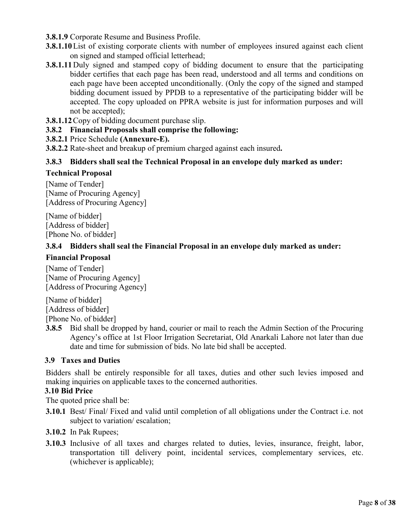- **3.8.1.9** Corporate Resume and Business Profile.
- **3.8.1.10** List of existing corporate clients with number of employees insured against each client on signed and stamped official letterhead;
- **3.8.1.11**Duly signed and stamped copy of bidding document to ensure that the participating bidder certifies that each page has been read, understood and all terms and conditions on each page have been accepted unconditionally. (Only the copy of the signed and stamped bidding document issued by PPDB to a representative of the participating bidder will be accepted. The copy uploaded on PPRA website is just for information purposes and will not be accepted);
- **3.8.1.12**Copy of bidding document purchase slip.
- **3.8.2 Financial Proposals shall comprise the following:**
- **3.8.2.1** Price Schedule **(Annexure-E).**
- **3.8.2.2** Rate-sheet and breakup of premium charged against each insured**.**

#### **3.8.3 Bidders shall seal the Technical Proposal in an envelope duly marked as under:**

#### **Technical Proposal**

[Name of Tender] [Name of Procuring Agency] [Address of Procuring Agency]

[Name of bidder] [Address of bidder] [Phone No. of bidder]

#### **3.8.4 Bidders shall seal the Financial Proposal in an envelope duly marked as under:**

#### **Financial Proposal**

[Name of Tender] [Name of Procuring Agency] [Address of Procuring Agency]

[Name of bidder] [Address of bidder]

[Phone No. of bidder]

**3.8.5** Bid shall be dropped by hand, courier or mail to reach the Admin Section of the Procuring Agency's office at 1st Floor Irrigation Secretariat, Old Anarkali Lahore not later than due date and time for submission of bids. No late bid shall be accepted.

#### **3.9 Taxes and Duties**

Bidders shall be entirely responsible for all taxes, duties and other such levies imposed and making inquiries on applicable taxes to the concerned authorities.

#### **3.10 Bid Price**

The quoted price shall be:

- **3.10.1** Best/ Final/ Fixed and valid until completion of all obligations under the Contract i.e. not subject to variation/ escalation;
- **3.10.2** In Pak Rupees;
- **3.10.3** Inclusive of all taxes and charges related to duties, levies, insurance, freight, labor, transportation till delivery point, incidental services, complementary services, etc. (whichever is applicable);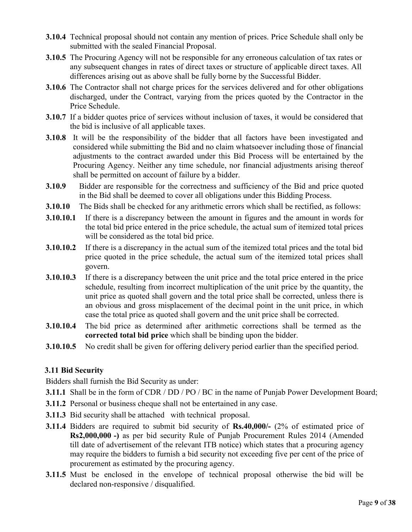- **3.10.4** Technical proposal should not contain any mention of prices. Price Schedule shall only be submitted with the sealed Financial Proposal.
- **3.10.5** The Procuring Agency will not be responsible for any erroneous calculation of tax rates or any subsequent changes in rates of direct taxes or structure of applicable direct taxes. All differences arising out as above shall be fully borne by the Successful Bidder.
- **3.10.6** The Contractor shall not charge prices for the services delivered and for other obligations discharged, under the Contract, varying from the prices quoted by the Contractor in the Price Schedule.
- **3.10.7** If a bidder quotes price of services without inclusion of taxes, it would be considered that the bid is inclusive of all applicable taxes.
- **3.10.8** It will be the responsibility of the bidder that all factors have been investigated and considered while submitting the Bid and no claim whatsoever including those of financial adjustments to the contract awarded under this Bid Process will be entertained by the Procuring Agency. Neither any time schedule, nor financial adjustments arising thereof shall be permitted on account of failure by a bidder.
- **3.10.9** Bidder are responsible for the correctness and sufficiency of the Bid and price quoted in the Bid shall be deemed to cover all obligations under this Bidding Process.
- **3.10.10** The Bids shall be checked for any arithmetic errors which shall be rectified, as follows:
- **3.10.10.1** If there is a discrepancy between the amount in figures and the amount in words for the total bid price entered in the price schedule, the actual sum of itemized total prices will be considered as the total bid price.
- **3.10.10.2** If there is a discrepancy in the actual sum of the itemized total prices and the total bid price quoted in the price schedule, the actual sum of the itemized total prices shall govern.
- **3.10.10.3** If there is a discrepancy between the unit price and the total price entered in the price schedule, resulting from incorrect multiplication of the unit price by the quantity, the unit price as quoted shall govern and the total price shall be corrected, unless there is an obvious and gross misplacement of the decimal point in the unit price, in which case the total price as quoted shall govern and the unit price shall be corrected.
- **3.10.10.4** The bid price as determined after arithmetic corrections shall be termed as the **corrected total bid price** which shall be binding upon the bidder.
- **3.10.10.5** No credit shall be given for offering delivery period earlier than the specified period.

### **3.11 Bid Security**

Bidders shall furnish the Bid Security as under:

- **3.11.1** Shall be in the form of CDR / DD / PO / BC in the name of Punjab Power Development Board;
- **3.11.2** Personal or business cheque shall not be entertained in any case.
- **3.11.3** Bid security shall be attached with technical proposal.
- **3.11.4** Bidders are required to submit bid security of **Rs.40,000/-** (2% of estimated price of **Rs2,000,000 -)** as per bid security Rule of Punjab Procurement Rules 2014 (Amended till date of advertisement of the relevant ITB notice) which states that a procuring agency may require the bidders to furnish a bid security not exceeding five per cent of the price of procurement as estimated by the procuring agency.
- **3.11.5** Must be enclosed in the envelope of technical proposal otherwise the bid will be declared non-responsive / disqualified.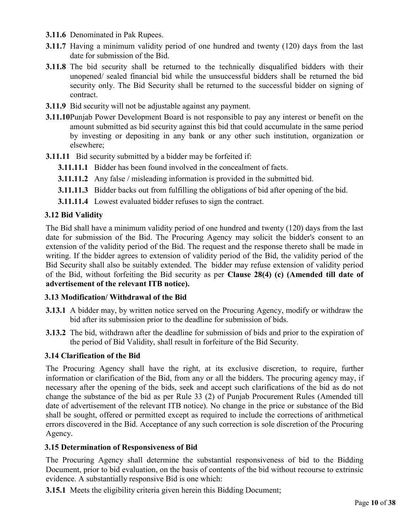- **3.11.6** Denominated in Pak Rupees.
- **3.11.7** Having a minimum validity period of one hundred and twenty (120) days from the last date for submission of the Bid.
- **3.11.8** The bid security shall be returned to the technically disqualified bidders with their unopened/ sealed financial bid while the unsuccessful bidders shall be returned the bid security only. The Bid Security shall be returned to the successful bidder on signing of contract.
- **3.11.9** Bid security will not be adjustable against any payment.
- **3.11.10**Punjab Power Development Board is not responsible to pay any interest or benefit on the amount submitted as bid security against this bid that could accumulate in the same period by investing or depositing in any bank or any other such institution, organization or elsewhere;
- **3.11.11** Bid security submitted by a bidder may be forfeited if:
	- **3.11.11.1** Bidder has been found involved in the concealment of facts.
	- **3.11.11.2** Any false / misleading information is provided in the submitted bid.
	- **3.11.11.3** Bidder backs out from fulfilling the obligations of bid after opening of the bid.
	- **3.11.11.4** Lowest evaluated bidder refuses to sign the contract.

#### **3.12 Bid Validity**

The Bid shall have a minimum validity period of one hundred and twenty (120) days from the last date for submission of the Bid. The Procuring Agency may solicit the bidder's consent to an extension of the validity period of the Bid. The request and the response thereto shall be made in writing. If the bidder agrees to extension of validity period of the Bid, the validity period of the Bid Security shall also be suitably extended. The bidder may refuse extension of validity period of the Bid, without forfeiting the Bid security as per **Clause 28(4) (c) (Amended till date of advertisement of the relevant ITB notice).**

#### **3.13 Modification/ Withdrawal of the Bid**

- **3.13.1** A bidder may, by written notice served on the Procuring Agency, modify or withdraw the bid after its submission prior to the deadline for submission of bids.
- **3.13.2** The bid, withdrawn after the deadline for submission of bids and prior to the expiration of the period of Bid Validity, shall result in forfeiture of the Bid Security.

#### **3.14 Clarification of the Bid**

The Procuring Agency shall have the right, at its exclusive discretion, to require, further information or clarification of the Bid, from any or all the bidders. The procuring agency may, if necessary after the opening of the bids, seek and accept such clarifications of the bid as do not change the substance of the bid as per Rule 33 (2) of Punjab Procurement Rules (Amended till date of advertisement of the relevant ITB notice). No change in the price or substance of the Bid shall be sought, offered or permitted except as required to include the corrections of arithmetical errors discovered in the Bid. Acceptance of any such correction is sole discretion of the Procuring Agency.

#### **3.15 Determination of Responsiveness of Bid**

The Procuring Agency shall determine the substantial responsiveness of bid to the Bidding Document, prior to bid evaluation, on the basis of contents of the bid without recourse to extrinsic evidence. A substantially responsive Bid is one which:

**3.15.1** Meets the eligibility criteria given herein this Bidding Document;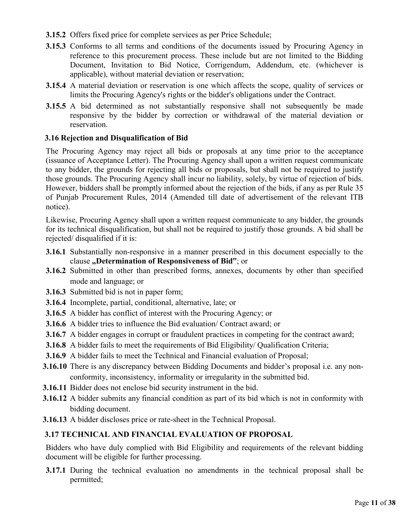- **3.15.2** Offers fixed price for complete services as per Price Schedule;
- **3.15.3** Conforms to all terms and conditions of the documents issued by Procuring Agency in reference to this procurement process. These include but are not limited to the Bidding Document, Invitation to Bid Notice, Corrigendum, Addendum, etc. (whichever is applicable), without material deviation or reservation;
- **3.15.4** A material deviation or reservation is one which affects the scope, quality of services or limits the Procuring Agency's rights or the bidder's obligations under the Contract.
- **3.15.5** A bid determined as not substantially responsive shall not subsequently be made responsive by the bidder by correction or withdrawal of the material deviation or reservation.

#### **3.16 Rejection and Disqualification of Bid**

The Procuring Agency may reject all bids or proposals at any time prior to the acceptance (issuance of Acceptance Letter). The Procuring Agency shall upon a written request communicate to any bidder, the grounds for rejecting all bids or proposals, but shall not be required to justify those grounds. The Procuring Agency shall incur no liability, solely, by virtue of rejection of bids. However, bidders shall be promptly informed about the rejection of the bids, if any as per Rule 35 of Punjab Procurement Rules, 2014 (Amended till date of advertisement of the relevant ITB notice).

Likewise, Procuring Agency shall upon a written request communicate to any bidder, the grounds for its technical disqualification, but shall not be required to justify those grounds. A bid shall be rejected/ disqualified if it is:

- **3.16.1** Substantially non-responsive in a manner prescribed in this document especially to the clause **"Determination of Responsiveness of Bid"**; or
- **3.16.2** Submitted in other than prescribed forms, annexes, documents by other than specified mode and language; or
- **3.16.3** Submitted bid is not in paper form;
- **3.16.4** Incomplete, partial, conditional, alternative, late; or
- **3.16.5** A bidder has conflict of interest with the Procuring Agency; or
- **3.16.6** A bidder tries to influence the Bid evaluation/ Contract award; or
- **3.16.7** A bidder engages in corrupt or fraudulent practices in competing for the contract award;
- **3.16.8** A bidder fails to meet the requirements of Bid Eligibility/ Qualification Criteria;
- **3.16.9** A bidder fails to meet the Technical and Financial evaluation of Proposal;
- **3.16.10** There is any discrepancy between Bidding Documents and bidder's proposal i.e. any nonconformity, inconsistency, informality or irregularity in the submitted bid.
- **3.16.11** Bidder does not enclose bid security instrument in the bid.
- **3.16.12** A bidder submits any financial condition as part of its bid which is not in conformity with bidding document.
- **3.16.13** A bidder discloses price or rate-sheet in the Technical Proposal.

### **3.17 TECHNICAL AND FINANCIAL EVALUATION OF PROPOSAL**

Bidders who have duly complied with Bid Eligibility and requirements of the relevant bidding document will be eligible for further processing.

**3.17.1** During the technical evaluation no amendments in the technical proposal shall be permitted;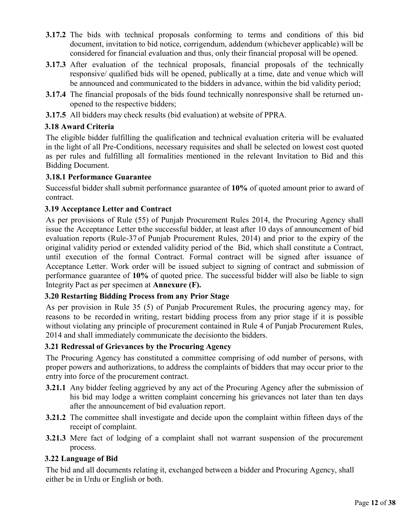- **3.17.2** The bids with technical proposals conforming to terms and conditions of this bid document, invitation to bid notice, corrigendum, addendum (whichever applicable) will be considered for financial evaluation and thus, only their financial proposal will be opened.
- **3.17.3** After evaluation of the technical proposals, financial proposals of the technically responsive/ qualified bids will be opened, publically at a time, date and venue which will be announced and communicated to the bidders in advance, within the bid validity period;
- **3.17.4** The financial proposals of the bids found technically nonresponsive shall be returned unopened to the respective bidders;
- **3.17.5** All bidders may check results (bid evaluation) at website of PPRA.

#### **3.18 Award Criteria**

The eligible bidder fulfilling the qualification and technical evaluation criteria will be evaluated in the light of all Pre-Conditions, necessary requisites and shall be selected on lowest cost quoted as per rules and fulfilling all formalities mentioned in the relevant Invitation to Bid and this Bidding Document.

#### **3.18.1 Performance Guarantee**

Successful bidder shall submit performance guarantee of **10%** of quoted amount prior to award of contract.

#### **3.19 Acceptance Letter and Contract**

As per provisions of Rule (55) of Punjab Procurement Rules 2014, the Procuring Agency shall issue the Acceptance Letter tothe successful bidder, at least after 10 days of announcement of bid evaluation reports (Rule-37 of Punjab Procurement Rules, 2014) and prior to the expiry of the original validity period or extended validity period of the Bid, which shall constitute a Contract, until execution of the formal Contract. Formal contract will be signed after issuance of Acceptance Letter. Work order will be issued subject to signing of contract and submission of performance guarantee of **10%** of quoted price. The successful bidder will also be liable to sign Integrity Pact as per specimen at **Annexure (F).**

#### **3.20 Restarting Bidding Process from any Prior Stage**

As per provision in Rule 35 (5) of Punjab Procurement Rules, the procuring agency may, for reasons to be recorded in writing, restart bidding process from any prior stage if it is possible without violating any principle of procurement contained in Rule 4 of Punjab Procurement Rules, 2014 and shall immediately communicate the decisionto the bidders.

#### **3.21 Redressal of Grievances by the Procuring Agency**

The Procuring Agency has constituted a committee comprising of odd number of persons, with proper powers and authorizations, to address the complaints of bidders that may occur prior to the entry into force of the procurement contract.

- **3.21.1** Any bidder feeling aggrieved by any act of the Procuring Agency after the submission of his bid may lodge a written complaint concerning his grievances not later than ten days after the announcement of bid evaluation report.
- **3.21.2** The committee shall investigate and decide upon the complaint within fifteen days of the receipt of complaint.
- **3.21.3** Mere fact of lodging of a complaint shall not warrant suspension of the procurement process.

### **3.22 Language of Bid**

The bid and all documents relating it, exchanged between a bidder and Procuring Agency, shall either be in Urdu or English or both.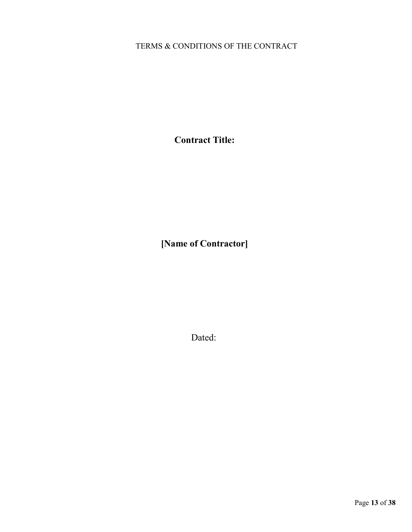# TERMS & CONDITIONS OF THE CONTRACT

**Contract Title:**

**[Name of Contractor]**

Dated: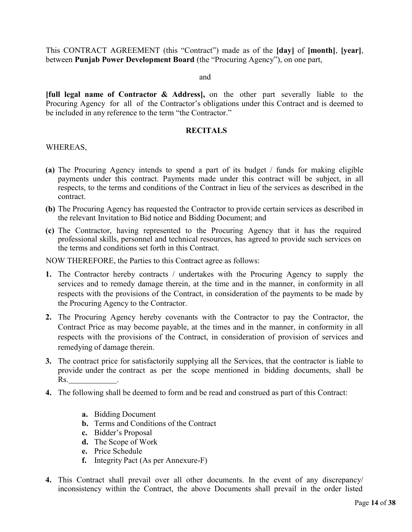This CONTRACT AGREEMENT (this "Contract") made as of the **[day]** of **[month]**, **[year]**, between **Punjab Power Development Board** (the "Procuring Agency"), on one part,

#### and

**[full legal name of Contractor & Address],** on the other part severally liable to the Procuring Agency for all of the Contractor's obligations under this Contract and is deemed to be included in any reference to the term "the Contractor."

#### **RECITALS**

#### WHEREAS,

- **(a)** The Procuring Agency intends to spend a part of its budget / funds for making eligible payments under this contract. Payments made under this contract will be subject, in all respects, to the terms and conditions of the Contract in lieu of the services as described in the contract.
- **(b)** The Procuring Agency has requested the Contractor to provide certain services as described in the relevant Invitation to Bid notice and Bidding Document; and
- **(c)** The Contractor, having represented to the Procuring Agency that it has the required professional skills, personnel and technical resources, has agreed to provide such services on the terms and conditions set forth in this Contract.

NOW THEREFORE, the Parties to this Contract agree as follows:

- **1.** The Contractor hereby contracts / undertakes with the Procuring Agency to supply the services and to remedy damage therein, at the time and in the manner, in conformity in all respects with the provisions of the Contract, in consideration of the payments to be made by the Procuring Agency to the Contractor.
- **2.** The Procuring Agency hereby covenants with the Contractor to pay the Contractor, the Contract Price as may become payable, at the times and in the manner, in conformity in all respects with the provisions of the Contract, in consideration of provision of services and remedying of damage therein.
- **3.** The contract price for satisfactorily supplying all the Services, that the contractor is liable to provide under the contract as per the scope mentioned in bidding documents, shall be Rs.
- **4.** The following shall be deemed to form and be read and construed as part of this Contract:
	- **a.** Bidding Document
	- **b.** Terms and Conditions of the Contract
	- **c.** Bidder's Proposal
	- **d.** The Scope of Work
	- **e.** Price Schedule
	- **f.** Integrity Pact (As per Annexure-F)
- **4.** This Contract shall prevail over all other documents. In the event of any discrepancy/ inconsistency within the Contract, the above Documents shall prevail in the order listed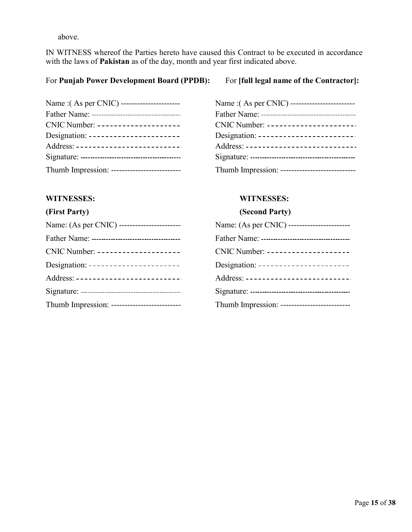above.

IN WITNESS whereof the Parties hereto have caused this Contract to be executed in accordance with the laws of **Pakistan** as of the day, month and year first indicated above.

#### For **Punjab Power Development Board (PPDB):** For **[full legal name of the Contractor]:**

| Name : (As per CNIC) ----------------------  |
|----------------------------------------------|
|                                              |
| CNIC Number: --------------------            |
| Designation: -----------------------         |
| Address: --------------------------          |
|                                              |
| Thumb Impression: -------------------------- |

|                                      | CNIC Number: --------------------           |
|--------------------------------------|---------------------------------------------|
|                                      | Designation: -----------------------        |
| Address: --------------------------- | Address: -------------------------          |
|                                      |                                             |
|                                      | Thumb Impression: ------------------------- |

| Name :(As per CNIC) -----------------------  | Name : (As per CNIC) -------------------------     |
|----------------------------------------------|----------------------------------------------------|
|                                              |                                                    |
| CNIC Number: --------------------            | $CNIC Number: \n--- \n--- \n--- \n--- \n--- \n---$ |
| Designation: -----------------------         | Designation: -------------------------             |
| Address: --------------------------          | Address: ----------------------------              |
|                                              |                                                    |
| Thumb Impression: -------------------------- | Thumb Impression: ----------------------------     |

#### **WITNESSES: WITNESSES:**

#### **(First Party) (Second Party)**

| Name: (As per CNIC) ------------------------ |
|----------------------------------------------|
|                                              |
| CNIC Number: --------------------            |
| Designation: -----------------------         |
| Address: --------------------------          |
|                                              |
| Thumb Impression: -------------------------- |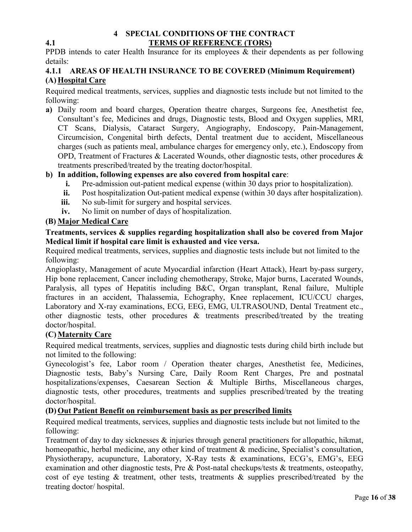#### **4 SPECIAL CONDITIONS OF THE CONTRACT 4.1 TERMS OF REFERENCE (TORS)**

PPDB intends to cater Health Insurance for its employees & their dependents as per following details:

#### **4.1.1 AREAS OF HEALTH INSURANCE TO BE COVERED (Minimum Requirement) (A) Hospital Care**

Required medical treatments, services, supplies and diagnostic tests include but not limited to the following:

**a)** Daily room and board charges, Operation theatre charges, Surgeons fee, Anesthetist fee, Consultant's fee, Medicines and drugs, Diagnostic tests, Blood and Oxygen supplies, MRI, CT Scans, Dialysis, Cataract Surgery, Angiography, Endoscopy, Pain-Management, Circumcision, Congenital birth defects, Dental treatment due to accident, Miscellaneous charges (such as patients meal, ambulance charges for emergency only, etc.), Endoscopy from OPD, Treatment of Fractures & Lacerated Wounds, other diagnostic tests, other procedures  $\&$ treatments prescribed/treated by the treating doctor/hospital.

#### **b) In addition, following expenses are also covered from hospital care**:

- **i.** Pre-admission out-patient medical expense (within 30 days prior to hospitalization).
- **ii.** Post hospitalization Out-patient medical expense (within 30 days after hospitalization).
- **iii.** No sub-limit for surgery and hospital services.
- **iv.** No limit on number of days of hospitalization.

#### **(B) Major Medical Care**

#### **Treatments, services & supplies regarding hospitalization shall also be covered from Major Medical limit if hospital care limit is exhausted and vice versa.**

Required medical treatments, services, supplies and diagnostic tests include but not limited to the following:

Angioplasty, Management of acute Myocardial infarction (Heart Attack), Heart by-pass surgery, Hip bone replacement, Cancer including chemotherapy, Stroke, Major burns, Lacerated Wounds, Paralysis, all types of Hepatitis including B&C, Organ transplant, Renal failure, Multiple fractures in an accident, Thalassemia, Echography, Knee replacement, ICU/CCU charges, Laboratory and X-ray examinations, ECG, EEG, EMG, ULTRASOUND, Dental Treatment etc., other diagnostic tests, other procedures & treatments prescribed/treated by the treating doctor/hospital.

### **(C)Maternity Care**

Required medical treatments, services, supplies and diagnostic tests during child birth include but not limited to the following:

Gynecologist's fee, Labor room / Operation theater charges, Anesthetist fee, Medicines, Diagnostic tests, Baby's Nursing Care, Daily Room Rent Charges, Pre and postnatal hospitalizations/expenses, Caesarean Section & Multiple Births, Miscellaneous charges, diagnostic tests, other procedures, treatments and supplies prescribed/treated by the treating doctor/hospital.

#### **(D) Out Patient Benefit on reimbursement basis as per prescribed limits**

Required medical treatments, services, supplies and diagnostic tests include but not limited to the following:

Treatment of day to day sicknesses & injuries through general practitioners for allopathic, hikmat, homeopathic, herbal medicine, any other kind of treatment & medicine, Specialist's consultation, Physiotherapy, acupuncture, Laboratory, X-Ray tests & examinations, ECG's, EMG's, EEG examination and other diagnostic tests, Pre & Post-natal checkups/tests & treatments, osteopathy, cost of eye testing  $\&$  treatment, other tests, treatments  $\&$  supplies prescribed/treated by the treating doctor/ hospital.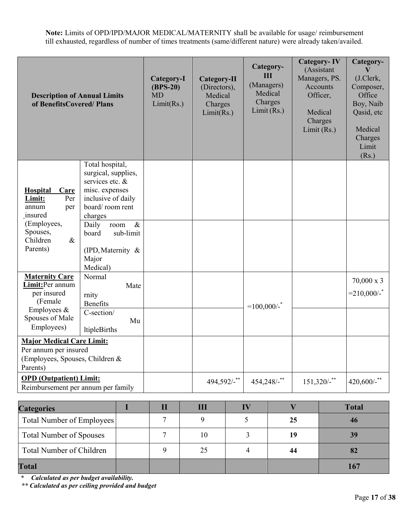**Note:** Limits of OPD/IPD/MAJOR MEDICAL/MATERNITY shall be available for usage/ reimbursement till exhausted, regardless of number of times treatments (same/different nature) were already taken/availed.

| <b>Description of Annual Limits</b><br>of BenefitsCovered/Plans                                                       |                                                                                                                                                                                | Category-I<br>$(BPS-20)$<br>MD<br>Limit(Rs.) | Category-II<br>(Directors),<br>Medical<br>Charges<br>Limit(Rs.) | Category-<br>Ш<br>(Managers)<br>Medical<br>Charges<br>Limit(Rs.) | <b>Category-IV</b><br>(Assistant<br>Managers, PS.<br><b>Accounts</b><br>Officer,<br>Medical<br>Charges<br>Limit $(Rs.)$ | Category-<br>V<br>(J.Clerk,<br>Composer,<br>Office<br>Boy, Naib<br>Qasid, etc<br>Medical<br>Charges<br>Limit<br>(Rs.) |
|-----------------------------------------------------------------------------------------------------------------------|--------------------------------------------------------------------------------------------------------------------------------------------------------------------------------|----------------------------------------------|-----------------------------------------------------------------|------------------------------------------------------------------|-------------------------------------------------------------------------------------------------------------------------|-----------------------------------------------------------------------------------------------------------------------|
| <b>Hospital</b><br>Care<br>Limit:<br>Per<br>annum<br>per<br>insured<br>(Employees,<br>Spouses,<br>Children<br>$\&$    | Total hospital,<br>surgical, supplies,<br>services etc. &<br>misc. expenses<br>inclusive of daily<br>board/room rent<br>charges<br>$\&$<br>Daily<br>room<br>sub-limit<br>board |                                              |                                                                 |                                                                  |                                                                                                                         |                                                                                                                       |
| Parents)                                                                                                              | (IPD, Maternity &<br>Major<br>Medical)                                                                                                                                         |                                              |                                                                 |                                                                  |                                                                                                                         |                                                                                                                       |
| <b>Maternity Care</b><br>Limit:Per annum<br>per insured<br>(Female<br>Employees $\&$<br>Spouses of Male<br>Employees) | Normal<br>Mate<br>rnity<br><b>Benefits</b><br>C-section/<br>Mu<br>ltipleBirths                                                                                                 |                                              |                                                                 | $=100,000/$ -                                                    |                                                                                                                         | $70,000 \times 3$<br>$=210,000/$ -                                                                                    |
| <b>Major Medical Care Limit:</b><br>Per annum per insured<br>(Employees, Spouses, Children &<br>Parents)              |                                                                                                                                                                                |                                              |                                                                 |                                                                  |                                                                                                                         |                                                                                                                       |
| <b>OPD</b> (Outpatient) Limit:<br>Reimbursement per annum per family                                                  |                                                                                                                                                                                |                                              | $494,592/$ -**                                                  | $454,248/$ -**                                                   | $151,320/$ -**                                                                                                          | 420,600/- $*$                                                                                                         |
|                                                                                                                       |                                                                                                                                                                                |                                              |                                                                 |                                                                  |                                                                                                                         |                                                                                                                       |

| <b>Categories</b>              | П |    |    | <b>Total</b> |
|--------------------------------|---|----|----|--------------|
| Total Number of Employees      |   |    | 25 |              |
| <b>Total Number of Spouses</b> |   | 10 |    |              |
| Total Number of Children       |   | 25 | 44 |              |
| <b>Total</b>                   |   |    |    |              |

**\*** *Calculated as per budget availability.* 

*\*\* Calculated as per ceiling provided and budget*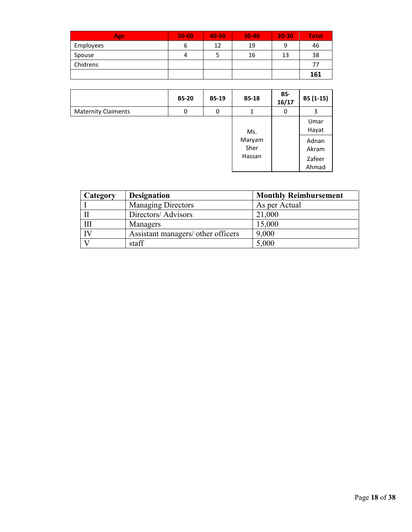| <b>Age</b> | 50-60 | 40-50 | $30-40$ | 20-30 | <b>Total</b> |
|------------|-------|-------|---------|-------|--------------|
| Employees  | ь     | 12    | 19      |       | 46           |
| Spouse     | 4     |       | 16      | 13    | 38           |
| Chidrens   |       |       |         |       | 77           |
|            |       |       |         |       | 161          |

|                            | <b>BS-20</b> | <b>BS-19</b> | <b>BS-18</b>   | BS-<br>16/17 | BS (1-15)       |
|----------------------------|--------------|--------------|----------------|--------------|-----------------|
| <b>Maternity Claiments</b> | 0            | 0            |                | 0            | 3               |
|                            |              |              | Ms.            |              | Umar<br>Hayat   |
|                            |              |              | Maryam<br>Sher |              | Adnan<br>Akram  |
|                            |              |              | Hassan         |              | Zafeer<br>Ahmad |

| Category | <b>Designation</b>                 | <b>Monthly Reimbursement</b> |
|----------|------------------------------------|------------------------------|
|          | <b>Managing Directors</b>          | As per Actual                |
|          | Directors/ Advisors                | 21,000                       |
| Ш        | Managers                           | 15,000                       |
| IV       | Assistant managers/ other officers | 9,000                        |
|          | staff                              | 5,000                        |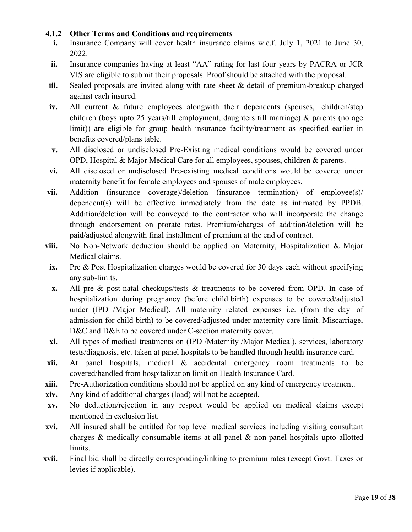#### **4.1.2 Other Terms and Conditions and requirements**

- **i.** Insurance Company will cover health insurance claims w.e.f. July 1, 2021 to June 30, 2022.
- **ii.** Insurance companies having at least "AA" rating for last four years by PACRA or JCR VIS are eligible to submit their proposals. Proof should be attached with the proposal.
- **iii.** Sealed proposals are invited along with rate sheet & detail of premium-breakup charged against each insured.
- **iv.** All current & future employees alongwith their dependents (spouses, children/step children (boys upto 25 years/till employment, daughters till marriage) & parents (no age limit)) are eligible for group health insurance facility/treatment as specified earlier in benefits covered/plans table.
- **v.** All disclosed or undisclosed Pre-Existing medical conditions would be covered under OPD, Hospital & Major Medical Care for all employees, spouses, children & parents.
- **vi.** All disclosed or undisclosed Pre-existing medical conditions would be covered under maternity benefit for female employees and spouses of male employees.
- **vii.** Addition (insurance coverage)/deletion (insurance termination) of employee(s)/ dependent(s) will be effective immediately from the date as intimated by PPDB. Addition/deletion will be conveyed to the contractor who will incorporate the change through endorsement on prorate rates. Premium/charges of addition/deletion will be paid/adjusted alongwith final installment of premium at the end of contract.
- **viii.** No Non-Network deduction should be applied on Maternity, Hospitalization & Major Medical claims.
- **ix.** Pre & Post Hospitalization charges would be covered for 30 days each without specifying any sub-limits.
- **x.** All pre & post-natal checkups/tests & treatments to be covered from OPD. In case of hospitalization during pregnancy (before child birth) expenses to be covered/adjusted under (IPD /Major Medical). All maternity related expenses i.e. (from the day of admission for child birth) to be covered/adjusted under maternity care limit. Miscarriage, D&C and D&E to be covered under C-section maternity cover.
- **xi.** All types of medical treatments on (IPD /Maternity /Major Medical), services, laboratory tests/diagnosis, etc. taken at panel hospitals to be handled through health insurance card.
- **xii.** At panel hospitals, medical & accidental emergency room treatments to be covered/handled from hospitalization limit on Health Insurance Card.
- **xiii.** Pre-Authorization conditions should not be applied on any kind of emergency treatment.
- **xiv.** Any kind of additional charges (load) will not be accepted.
- **xv.** No deduction/rejection in any respect would be applied on medical claims except mentioned in exclusion list.
- **xvi.** All insured shall be entitled for top level medical services including visiting consultant charges  $\&$  medically consumable items at all panel  $\&$  non-panel hospitals upto allotted limits.
- **xvii.** Final bid shall be directly corresponding/linking to premium rates (except Govt. Taxes or levies if applicable).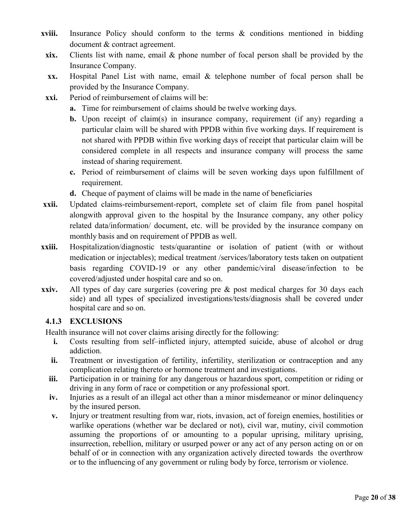- **xviii.** Insurance Policy should conform to the terms & conditions mentioned in bidding document & contract agreement.
- **xix.** Clients list with name, email & phone number of focal person shall be provided by the Insurance Company.
- **xx.** Hospital Panel List with name, email & telephone number of focal person shall be provided by the Insurance Company.
- **xxi.** Period of reimbursement of claims will be:
	- **a.** Time for reimbursement of claims should be twelve working days.
	- **b.** Upon receipt of claim(s) in insurance company, requirement (if any) regarding a particular claim will be shared with PPDB within five working days. If requirement is not shared with PPDB within five working days of receipt that particular claim will be considered complete in all respects and insurance company will process the same instead of sharing requirement.
	- **c.** Period of reimbursement of claims will be seven working days upon fulfillment of requirement.
	- **d.** Cheque of payment of claims will be made in the name of beneficiaries
- **xxii.** Updated claims-reimbursement-report, complete set of claim file from panel hospital alongwith approval given to the hospital by the Insurance company, any other policy related data/information/ document, etc. will be provided by the insurance company on monthly basis and on requirement of PPDB as well.
- **xxiii.** Hospitalization/diagnostic tests/quarantine or isolation of patient (with or without medication or injectables); medical treatment /services/laboratory tests taken on outpatient basis regarding COVID-19 or any other pandemic/viral disease/infection to be covered/adjusted under hospital care and so on.
- **xxiv.** All types of day care surgeries (covering pre & post medical charges for 30 days each side) and all types of specialized investigations/tests/diagnosis shall be covered under hospital care and so on.

#### **4.1.3 EXCLUSIONS**

Health insurance will not cover claims arising directly for the following:

- **i.** Costs resulting from self–inflicted injury, attempted suicide, abuse of alcohol or drug addiction.
- ii. Treatment or investigation of fertility, infertility, sterilization or contraception and any complication relating thereto or hormone treatment and investigations.
- **iii.** Participation in or training for any dangerous or hazardous sport, competition or riding or driving in any form of race or competition or any professional sport.
- **iv.** Injuries as a result of an illegal act other than a minor misdemeanor or minor delinquency by the insured person.
- **v.** Injury or treatment resulting from war, riots, invasion, act of foreign enemies, hostilities or warlike operations (whether war be declared or not), civil war, mutiny, civil commotion assuming the proportions of or amounting to a popular uprising, military uprising, insurrection, rebellion, military or usurped power or any act of any person acting on or on behalf of or in connection with any organization actively directed towards the overthrow or to the influencing of any government or ruling body by force, terrorism or violence.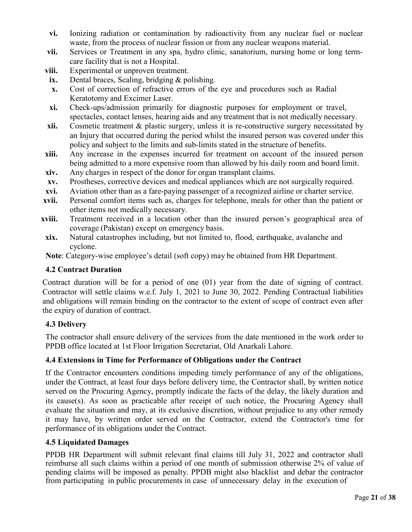- **vi.** Ionizing radiation or contamination by radioactivity from any nuclear fuel or nuclear waste, from the process of nuclear fission or from any nuclear weapons material.
- vii. Services or Treatment in any spa, hydro clinic, sanatorium, nursing home or long termcare facility that is not a Hospital.
- **viii.** Experimental or unproven treatment.
- **ix.** Dental braces, Scaling, bridging & polishing.
- **x.** Cost of correction of refractive errors of the eye and procedures such as Radial Keratotomy and Excimer Laser.
- **xi.** Check-ups/admission primarily for diagnostic purposes for employment or travel, spectacles, contact lenses, hearing aids and any treatment that is not medically necessary.
- **xii.** Cosmetic treatment & plastic surgery, unless it is re-constructive surgery necessitated by an Injury that occurred during the period whilst the insured person was covered under this policy and subject to the limits and sub-limits stated in the structure of benefits.
- **xiii.** Any increase in the expenses incurred for treatment on account of the insured person being admitted to a more expensive room than allowed by his daily room and board limit.
- **xiv.** Any charges in respect of the donor for organ transplant claims.
- **xv.** Prostheses, corrective devices and medical appliances which are not surgically required.
- **xvi.** Aviation other than as a fare-paying passenger of a recognized airline or charter service.
- **xvii.** Personal comfort items such as, charges for telephone, meals for other than the patient or other items not medically necessary.
- **xviii.** Treatment received in a location other than the insured person's geographical area of coverage (Pakistan) except on emergency basis.
- **xix.** Natural catastrophes including, but not limited to, flood, earthquake, avalanche and cyclone.

**Note**: Category-wise employee's detail (soft copy) may be obtained from HR Department.

#### **4.2 Contract Duration**

Contract duration will be for a period of one (01) year from the date of signing of contract. Contractor will settle claims w.e.f. July 1, 2021 to June 30, 2022. Pending Contractual liabilities and obligations will remain binding on the contractor to the extent of scope of contract even after the expiry of duration of contract.

### **4.3 Delivery**

The contractor shall ensure delivery of the services from the date mentioned in the work order to PPDB office located at 1st Floor Irrigation Secretariat, Old Anarkali Lahore.

#### **4.4 Extensions in Time for Performance of Obligations under the Contract**

If the Contractor encounters conditions impeding timely performance of any of the obligations, under the Contract, at least four days before delivery time, the Contractor shall, by written notice served on the Procuring Agency, promptly indicate the facts of the delay, the likely duration and its cause(s). As soon as practicable after receipt of such notice, the Procuring Agency shall evaluate the situation and may, at its exclusive discretion, without prejudice to any other remedy it may have, by written order served on the Contractor, extend the Contractor's time for performance of its obligations under the Contract.

#### **4.5 Liquidated Damages**

PPDB HR Department will submit relevant final claims till July 31, 2022 and contractor shall reimburse all such claims within a period of one month of submission otherwise 2% of value of pending claims will be imposed as penalty. PPDB might also blacklist and debar the contractor from participating in public procurements in case of unnecessary delay in the execution of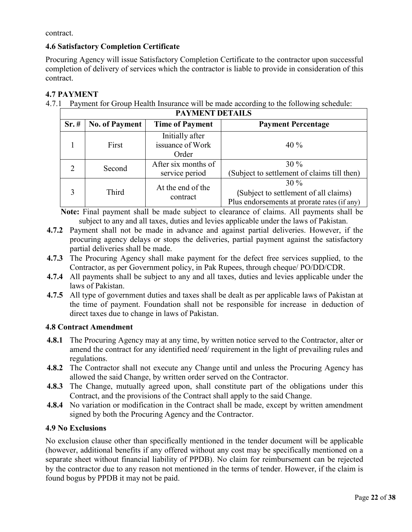contract.

#### **4.6 Satisfactory Completion Certificate**

Procuring Agency will issue Satisfactory Completion Certificate to the contractor upon successful completion of delivery of services which the contractor is liable to provide in consideration of this contract.

#### **4.7 PAYMENT**

4.7.1 Payment for Group Health Insurance will be made according to the following schedule:

| <b>PAYMENT DETAILS</b> |                       |                                              |                                                                                                |  |
|------------------------|-----------------------|----------------------------------------------|------------------------------------------------------------------------------------------------|--|
| Sr.#                   | <b>No. of Payment</b> | <b>Time of Payment</b>                       | <b>Payment Percentage</b>                                                                      |  |
|                        | First                 | Initially after<br>issuance of Work<br>Order | $40\%$                                                                                         |  |
| 2                      | Second                | After six months of<br>service period        | $30\%$<br>(Subject to settlement of claims till then)                                          |  |
| 3                      | Third                 | At the end of the<br>contract                | $30\%$<br>(Subject to settlement of all claims)<br>Plus endorsements at prorate rates (if any) |  |

**Note:** Final payment shall be made subject to clearance of claims. All payments shall be subject to any and all taxes, duties and levies applicable under the laws of Pakistan.

- **4.7.2** Payment shall not be made in advance and against partial deliveries. However, if the procuring agency delays or stops the deliveries, partial payment against the satisfactory partial deliveries shall be made.
- **4.7.3** The Procuring Agency shall make payment for the defect free services supplied, to the Contractor, as per Government policy, in Pak Rupees, through cheque/ PO/DD/CDR.
- **4.7.4** All payments shall be subject to any and all taxes, duties and levies applicable under the laws of Pakistan.
- **4.7.5** All type of government duties and taxes shall be dealt as per applicable laws of Pakistan at the time of payment. Foundation shall not be responsible for increase in deduction of direct taxes due to change in laws of Pakistan.

#### **4.8 Contract Amendment**

- **4.8.1** The Procuring Agency may at any time, by written notice served to the Contractor, alter or amend the contract for any identified need/ requirement in the light of prevailing rules and regulations.
- **4.8.2** The Contractor shall not execute any Change until and unless the Procuring Agency has allowed the said Change, by written order served on the Contractor.
- **4.8.3** The Change, mutually agreed upon, shall constitute part of the obligations under this Contract, and the provisions of the Contract shall apply to the said Change.
- **4.8.4** No variation or modification in the Contract shall be made, except by written amendment signed by both the Procuring Agency and the Contractor.

#### **4.9 No Exclusions**

No exclusion clause other than specifically mentioned in the tender document will be applicable (however, additional benefits if any offered without any cost may be specifically mentioned on a separate sheet without financial liability of PPDB). No claim for reimbursement can be rejected by the contractor due to any reason not mentioned in the terms of tender. However, if the claim is found bogus by PPDB it may not be paid.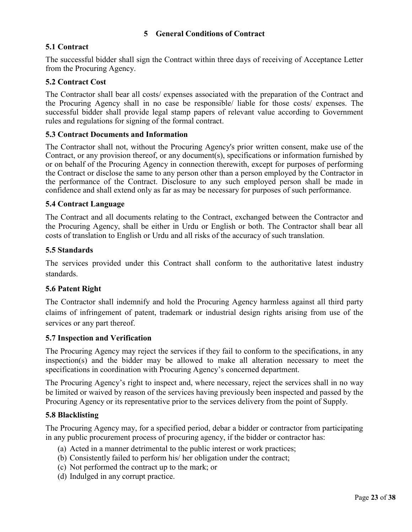#### **5 General Conditions of Contract**

#### **5.1 Contract**

The successful bidder shall sign the Contract within three days of receiving of Acceptance Letter from the Procuring Agency.

#### **5.2 Contract Cost**

The Contractor shall bear all costs/ expenses associated with the preparation of the Contract and the Procuring Agency shall in no case be responsible/ liable for those costs/ expenses. The successful bidder shall provide legal stamp papers of relevant value according to Government rules and regulations for signing of the formal contract.

#### **5.3 Contract Documents and Information**

The Contractor shall not, without the Procuring Agency's prior written consent, make use of the Contract, or any provision thereof, or any document(s), specifications or information furnished by or on behalf of the Procuring Agency in connection therewith, except for purposes of performing the Contract or disclose the same to any person other than a person employed by the Contractor in the performance of the Contract. Disclosure to any such employed person shall be made in confidence and shall extend only as far as may be necessary for purposes of such performance.

#### **5.4 Contract Language**

The Contract and all documents relating to the Contract, exchanged between the Contractor and the Procuring Agency, shall be either in Urdu or English or both. The Contractor shall bear all costs of translation to English or Urdu and all risks of the accuracy of such translation.

#### **5.5 Standards**

The services provided under this Contract shall conform to the authoritative latest industry standards.

#### **5.6 Patent Right**

The Contractor shall indemnify and hold the Procuring Agency harmless against all third party claims of infringement of patent, trademark or industrial design rights arising from use of the services or any part thereof.

#### **5.7 Inspection and Verification**

The Procuring Agency may reject the services if they fail to conform to the specifications, in any inspection(s) and the bidder may be allowed to make all alteration necessary to meet the specifications in coordination with Procuring Agency's concerned department.

The Procuring Agency's right to inspect and, where necessary, reject the services shall in no way be limited or waived by reason of the services having previously been inspected and passed by the Procuring Agency or its representative prior to the services delivery from the point of Supply.

#### **5.8 Blacklisting**

The Procuring Agency may, for a specified period, debar a bidder or contractor from participating in any public procurement process of procuring agency, if the bidder or contractor has:

- (a) Acted in a manner detrimental to the public interest or work practices;
- (b) Consistently failed to perform his/ her obligation under the contract;
- (c) Not performed the contract up to the mark; or
- (d) Indulged in any corrupt practice.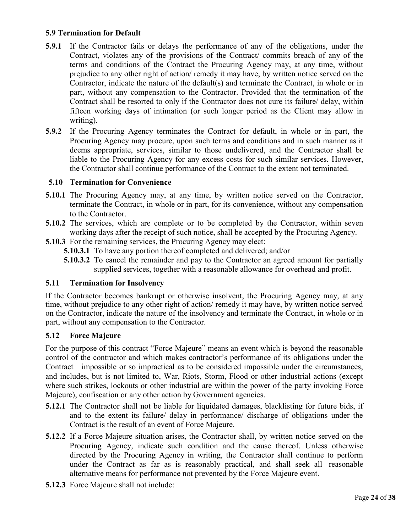#### **5.9 Termination for Default**

- **5.9.1** If the Contractor fails or delays the performance of any of the obligations, under the Contract, violates any of the provisions of the Contract/ commits breach of any of the terms and conditions of the Contract the Procuring Agency may, at any time, without prejudice to any other right of action/ remedy it may have, by written notice served on the Contractor, indicate the nature of the default(s) and terminate the Contract, in whole or in part, without any compensation to the Contractor. Provided that the termination of the Contract shall be resorted to only if the Contractor does not cure its failure/ delay, within fifteen working days of intimation (or such longer period as the Client may allow in writing).
- **5.9.2** If the Procuring Agency terminates the Contract for default, in whole or in part, the Procuring Agency may procure, upon such terms and conditions and in such manner as it deems appropriate, services, similar to those undelivered, and the Contractor shall be liable to the Procuring Agency for any excess costs for such similar services. However, the Contractor shall continue performance of the Contract to the extent not terminated.

#### **5.10 Termination for Convenience**

- **5.10.1** The Procuring Agency may, at any time, by written notice served on the Contractor, terminate the Contract, in whole or in part, for its convenience, without any compensation to the Contractor.
- **5.10.2** The services, which are complete or to be completed by the Contractor, within seven working days after the receipt of such notice, shall be accepted by the Procuring Agency.
- **5.10.3** For the remaining services, the Procuring Agency may elect:
	- **5.10.3.1** To have any portion thereof completed and delivered; and/or
		- **5.10.3.2** To cancel the remainder and pay to the Contractor an agreed amount for partially supplied services, together with a reasonable allowance for overhead and profit.

#### **5.11 Termination for Insolvency**

If the Contractor becomes bankrupt or otherwise insolvent, the Procuring Agency may, at any time, without prejudice to any other right of action/ remedy it may have, by written notice served on the Contractor, indicate the nature of the insolvency and terminate the Contract, in whole or in part, without any compensation to the Contractor.

#### **5.12 Force Majeure**

For the purpose of this contract "Force Majeure" means an event which is beyond the reasonable control of the contractor and which makes contractor's performance of its obligations under the Contract impossible or so impractical as to be considered impossible under the circumstances, and includes, but is not limited to, War, Riots, Storm, Flood or other industrial actions (except where such strikes, lockouts or other industrial are within the power of the party invoking Force Majeure), confiscation or any other action by Government agencies.

- **5.12.1** The Contractor shall not be liable for liquidated damages, blacklisting for future bids, if and to the extent its failure/ delay in performance/ discharge of obligations under the Contract is the result of an event of Force Majeure.
- **5.12.2** If a Force Majeure situation arises, the Contractor shall, by written notice served on the Procuring Agency, indicate such condition and the cause thereof. Unless otherwise directed by the Procuring Agency in writing, the Contractor shall continue to perform under the Contract as far as is reasonably practical, and shall seek all reasonable alternative means for performance not prevented by the Force Majeure event.
- **5.12.3** Force Majeure shall not include: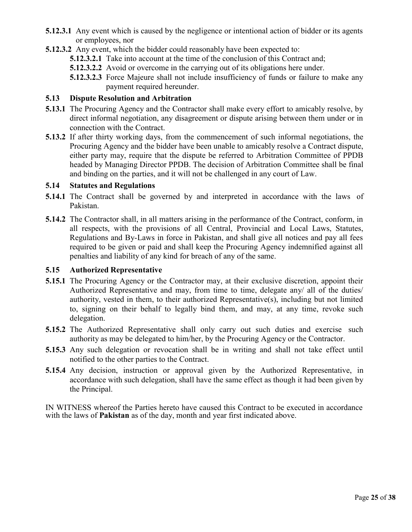- **5.12.3.1** Any event which is caused by the negligence or intentional action of bidder or its agents or employees, nor
- **5.12.3.2** Any event, which the bidder could reasonably have been expected to:
	- **5.12.3.2.1** Take into account at the time of the conclusion of this Contract and;
	- **5.12.3.2.2** Avoid or overcome in the carrying out of its obligations here under.
	- **5.12.3.2.3** Force Majeure shall not include insufficiency of funds or failure to make any payment required hereunder.

#### **5.13 Dispute Resolution and Arbitration**

- **5.13.1** The Procuring Agency and the Contractor shall make every effort to amicably resolve, by direct informal negotiation, any disagreement or dispute arising between them under or in connection with the Contract.
- **5.13.2** If after thirty working days, from the commencement of such informal negotiations, the Procuring Agency and the bidder have been unable to amicably resolve a Contract dispute, either party may, require that the dispute be referred to Arbitration Committee of PPDB headed by Managing Director PPDB. The decision of Arbitration Committee shall be final and binding on the parties, and it will not be challenged in any court of Law.

#### **5.14 Statutes and Regulations**

- **5.14.1** The Contract shall be governed by and interpreted in accordance with the laws of Pakistan.
- **5.14.2** The Contractor shall, in all matters arising in the performance of the Contract, conform, in all respects, with the provisions of all Central, Provincial and Local Laws, Statutes, Regulations and By-Laws in force in Pakistan, and shall give all notices and pay all fees required to be given or paid and shall keep the Procuring Agency indemnified against all penalties and liability of any kind for breach of any of the same.

#### **5.15 Authorized Representative**

- **5.15.1** The Procuring Agency or the Contractor may, at their exclusive discretion, appoint their Authorized Representative and may, from time to time, delegate any/ all of the duties/ authority, vested in them, to their authorized Representative(s), including but not limited to, signing on their behalf to legally bind them, and may, at any time, revoke such delegation.
- **5.15.2** The Authorized Representative shall only carry out such duties and exercise such authority as may be delegated to him/her, by the Procuring Agency or the Contractor.
- **5.15.3** Any such delegation or revocation shall be in writing and shall not take effect until notified to the other parties to the Contract.
- **5.15.4** Any decision, instruction or approval given by the Authorized Representative, in accordance with such delegation, shall have the same effect as though it had been given by the Principal.

IN WITNESS whereof the Parties hereto have caused this Contract to be executed in accordance with the laws of **Pakistan** as of the day, month and year first indicated above.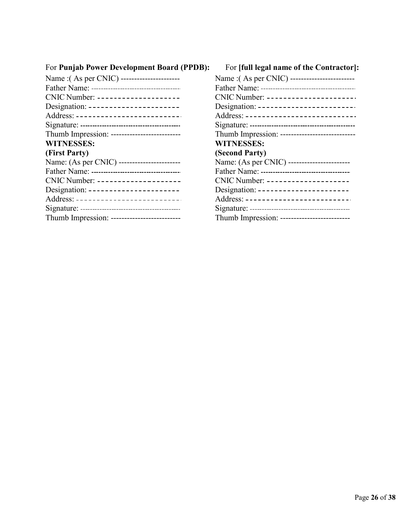# For **Punjab Power Development Board (PPDB):** For **[full legal name of the Contractor]:**

| Name : (As per CNIC) ----------------------- |
|----------------------------------------------|
|                                              |
| CNIC Number: --------------------            |
| Designation: -----------------------         |
| Address: --------------------------          |
|                                              |
|                                              |
| <b>WITNESSES:</b>                            |
| (Second Party)                               |
| Name: (As per CNIC) -----------------------  |
|                                              |
| CNIC Number: --------------------            |
| Designation: -----------------------         |
| Address: -------------------------           |
|                                              |
| Thumb Impression: -------------------------- |
|                                              |

| For Punjab Power Development Board (PPDB):   | For [full legal name of the Contractor]         |
|----------------------------------------------|-------------------------------------------------|
| Name : (As per CNIC) ----------------------  | Name : (As per CNIC) -------------------------  |
|                                              |                                                 |
| CNIC Number: --------------------            | CNIC Number: ----------------------             |
| Designation: -----------------------         | Designation: -------------------------          |
| Address: --------------------------          | Address: ---------------------------            |
|                                              |                                                 |
| Thumb Impression: -------------------------- | Thumb Impression: ----------------------------- |
| <b>WITNESSES:</b>                            | <b>WITNESSES:</b>                               |
| (First Party)                                | (Second Party)                                  |
| Name: (As per CNIC) ------------------------ | Name: (As per CNIC) ------------------------    |
|                                              |                                                 |
| CNIC Number: --------------------            | CNIC Number: --------------------               |
| Designation: -----------------------         | Designation: -----------------------            |
| Address: --------------------------          | Address: --------------------------             |
|                                              |                                                 |
| Thumb Impression: -------------------------- | Thumb Impression :--------------------------    |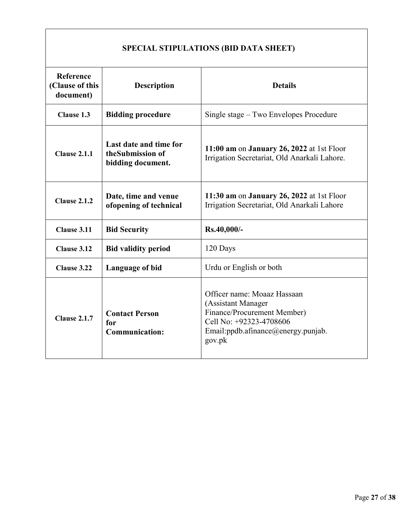| Reference<br>(Clause of this<br>document) | <b>Description</b>                                              | <b>Details</b>                                                                                                                                              |  |
|-------------------------------------------|-----------------------------------------------------------------|-------------------------------------------------------------------------------------------------------------------------------------------------------------|--|
| Clause 1.3                                | <b>Bidding procedure</b>                                        | Single stage – Two Envelopes Procedure                                                                                                                      |  |
| <b>Clause 2.1.1</b>                       | Last date and time for<br>theSubmission of<br>bidding document. | 11:00 am on January 26, 2022 at 1st Floor<br>Irrigation Secretariat, Old Anarkali Lahore.                                                                   |  |
| <b>Clause 2.1.2</b>                       | Date, time and venue<br>ofopening of technical                  | 11:30 am on January 26, 2022 at 1st Floor<br>Irrigation Secretariat, Old Anarkali Lahore                                                                    |  |
| Clause 3.11                               | <b>Bid Security</b>                                             | Rs.40,000/-                                                                                                                                                 |  |
| Clause 3.12                               | <b>Bid validity period</b>                                      | 120 Days                                                                                                                                                    |  |
| Clause 3.22                               | <b>Language of bid</b>                                          | Urdu or English or both                                                                                                                                     |  |
| <b>Clause 2.1.7</b>                       | <b>Contact Person</b><br>for<br><b>Communication:</b>           | Officer name: Moaaz Hassaan<br>(Assistant Manager<br>Finance/Procurement Member)<br>Cell No: +92323-4708606<br>Email:ppdb.afinance@energy.punjab.<br>gov.pk |  |

# **SPECIAL STIPULATIONS (BID DATA SHEET)**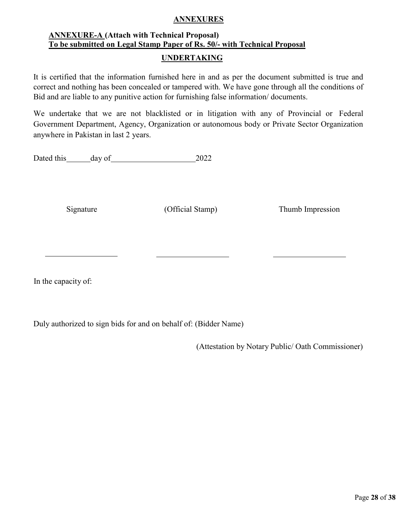#### **ANNEXURES**

# **ANNEXURE-A (Attach with Technical Proposal) To be submitted on Legal Stamp Paper of Rs. 50/- with Technical Proposal**

#### **UNDERTAKING**

It is certified that the information furnished here in and as per the document submitted is true and correct and nothing has been concealed or tampered with. We have gone through all the conditions of Bid and are liable to any punitive action for furnishing false information/ documents.

We undertake that we are not blacklisted or in litigation with any of Provincial or Federal Government Department, Agency, Organization or autonomous body or Private Sector Organization anywhere in Pakistan in last 2 years.

Dated this day of 2022

Signature (Official Stamp) Thumb Impression

In the capacity of:

Duly authorized to sign bids for and on behalf of: (Bidder Name)

(Attestation by Notary Public/ Oath Commissioner)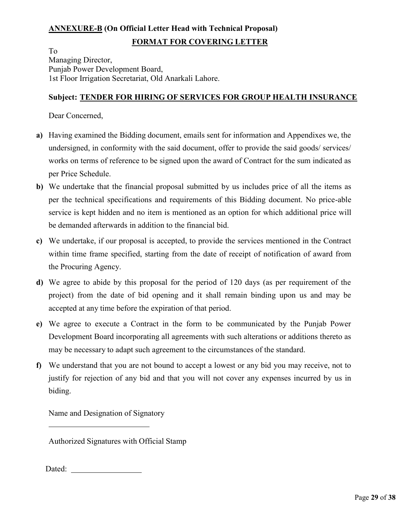# **ANNEXURE-B (On Official Letter Head with Technical Proposal) FORMAT FOR COVERING LETTER**

To Managing Director, Punjab Power Development Board, 1st Floor Irrigation Secretariat, Old Anarkali Lahore.

#### **Subject: TENDER FOR HIRING OF SERVICES FOR GROUP HEALTH INSURANCE**

Dear Concerned,

- **a)** Having examined the Bidding document, emails sent for information and Appendixes we, the undersigned, in conformity with the said document, offer to provide the said goods/ services/ works on terms of reference to be signed upon the award of Contract for the sum indicated as per Price Schedule.
- **b)** We undertake that the financial proposal submitted by us includes price of all the items as per the technical specifications and requirements of this Bidding document. No price-able service is kept hidden and no item is mentioned as an option for which additional price will be demanded afterwards in addition to the financial bid.
- **c)** We undertake, if our proposal is accepted, to provide the services mentioned in the Contract within time frame specified, starting from the date of receipt of notification of award from the Procuring Agency.
- **d)** We agree to abide by this proposal for the period of 120 days (as per requirement of the project) from the date of bid opening and it shall remain binding upon us and may be accepted at any time before the expiration of that period.
- **e)** We agree to execute a Contract in the form to be communicated by the Punjab Power Development Board incorporating all agreements with such alterations or additions thereto as may be necessary to adapt such agreement to the circumstances of the standard.
- **f)** We understand that you are not bound to accept a lowest or any bid you may receive, not to justify for rejection of any bid and that you will not cover any expenses incurred by us in biding.

Name and Designation of Signatory

Authorized Signatures with Official Stamp

Dated: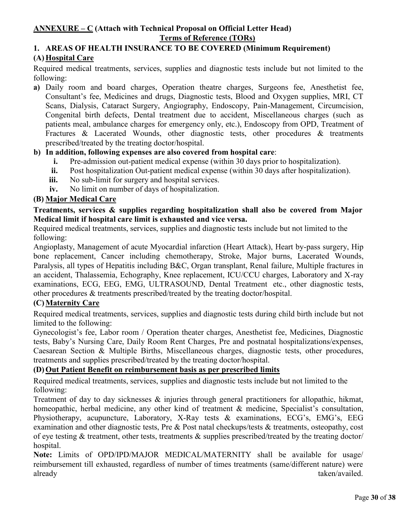### **ANNEXURE – C (Attach with Technical Proposal on Official Letter Head) Terms of Reference (TORs)**

#### **1. AREAS OF HEALTH INSURANCE TO BE COVERED (Minimum Requirement) (A) Hospital Care**

Required medical treatments, services, supplies and diagnostic tests include but not limited to the following:

**a)** Daily room and board charges, Operation theatre charges, Surgeons fee, Anesthetist fee, Consultant's fee, Medicines and drugs, Diagnostic tests, Blood and Oxygen supplies, MRI, CT Scans, Dialysis, Cataract Surgery, Angiography, Endoscopy, Pain-Management, Circumcision, Congenital birth defects, Dental treatment due to accident, Miscellaneous charges (such as patients meal, ambulance charges for emergency only, etc.), Endoscopy from OPD, Treatment of Fractures & Lacerated Wounds, other diagnostic tests, other procedures & treatments prescribed/treated by the treating doctor/hospital.

#### **b) In addition, following expenses are also covered from hospital care**:

- **i.** Pre-admission out-patient medical expense (within 30 days prior to hospitalization).
- **ii.** Post hospitalization Out-patient medical expense (within 30 days after hospitalization).
- **iii.** No sub-limit for surgery and hospital services.
- **iv.** No limit on number of days of hospitalization.

#### **(B) Major Medical Care**

#### **Treatments, services & supplies regarding hospitalization shall also be covered from Major Medical limit if hospital care limit is exhausted and vice versa.**

Required medical treatments, services, supplies and diagnostic tests include but not limited to the following:

Angioplasty, Management of acute Myocardial infarction (Heart Attack), Heart by-pass surgery, Hip bone replacement, Cancer including chemotherapy, Stroke, Major burns, Lacerated Wounds, Paralysis, all types of Hepatitis including B&C, Organ transplant, Renal failure, Multiple fractures in an accident, Thalassemia, Echography, Knee replacement, ICU/CCU charges, Laboratory and X-ray examinations, ECG, EEG, EMG, ULTRASOUND, Dental Treatment etc., other diagnostic tests, other procedures & treatments prescribed/treated by the treating doctor/hospital.

### **(C) Maternity Care**

Required medical treatments, services, supplies and diagnostic tests during child birth include but not limited to the following:

Gynecologist's fee, Labor room / Operation theater charges, Anesthetist fee, Medicines, Diagnostic tests, Baby's Nursing Care, Daily Room Rent Charges, Pre and postnatal hospitalizations/expenses, Caesarean Section & Multiple Births, Miscellaneous charges, diagnostic tests, other procedures, treatments and supplies prescribed/treated by the treating doctor/hospital.

#### **(D) Out Patient Benefit on reimbursement basis as per prescribed limits**

Required medical treatments, services, supplies and diagnostic tests include but not limited to the following:

Treatment of day to day sicknesses & injuries through general practitioners for allopathic, hikmat, homeopathic, herbal medicine, any other kind of treatment & medicine, Specialist's consultation, Physiotherapy, acupuncture, Laboratory, X-Ray tests & examinations, ECG's, EMG's, EEG examination and other diagnostic tests, Pre & Post natal checkups/tests & treatments, osteopathy, cost of eye testing & treatment, other tests, treatments & supplies prescribed/treated by the treating doctor/ hospital.

**Note:** Limits of OPD/IPD/MAJOR MEDICAL/MATERNITY shall be available for usage/ reimbursement till exhausted, regardless of number of times treatments (same/different nature) were already taken/availed.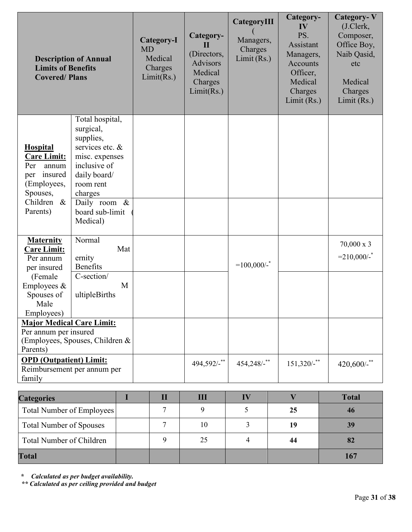| <b>Description of Annual</b><br><b>Limits of Benefits</b><br><b>Covered/Plans</b>                                                                                                                                                                                        |                                                                                                                                                                                       | Category-I<br><b>MD</b><br>Medical<br>Charges<br>Limit(Rs.) | Category-<br>$\mathbf{H}$<br>(Directors,<br><b>Advisors</b><br>Medical<br>Charges<br>Limit(Rs.) | CategoryIII<br>Managers,<br>Charges<br>Limit (Rs.) | Category-<br>IV<br>PS.<br>Assistant<br>Managers,<br><b>Accounts</b><br>Officer,<br>Medical<br>Charges<br>Limit $(Rs.)$ | <b>Category-V</b><br>(J.Clerk,<br>Composer,<br>Office Boy,<br>Naib Qasid,<br>etc<br>Medical<br>Charges<br>Limit $(Rs.)$ |
|--------------------------------------------------------------------------------------------------------------------------------------------------------------------------------------------------------------------------------------------------------------------------|---------------------------------------------------------------------------------------------------------------------------------------------------------------------------------------|-------------------------------------------------------------|-------------------------------------------------------------------------------------------------|----------------------------------------------------|------------------------------------------------------------------------------------------------------------------------|-------------------------------------------------------------------------------------------------------------------------|
| <b>Hospital</b><br><b>Care Limit:</b><br>Per<br>annum<br>insured<br>per<br>(Employees,<br>Spouses,<br>Children &<br>Parents)                                                                                                                                             | Total hospital,<br>surgical,<br>supplies,<br>services etc. &<br>misc. expenses<br>inclusive of<br>daily board/<br>room rent<br>charges<br>Daily room &<br>board sub-limit<br>Medical) |                                                             |                                                                                                 |                                                    |                                                                                                                        |                                                                                                                         |
| Normal<br><b>Maternity</b><br>Mat<br>Care Limit:<br>ernity<br>Per annum<br><b>Benefits</b><br>per insured<br>C-section/<br>(Female<br>Employees &<br>M<br>Spouses of<br>ultipleBirths<br>Male<br>Employees)<br><b>Major Medical Care Limit:</b><br>Per annum per insured |                                                                                                                                                                                       |                                                             |                                                                                                 | $=100,000/$ -                                      |                                                                                                                        | $70,000 \times 3$<br>$=210,000/$ -                                                                                      |
| (Employees, Spouses, Children &<br>Parents)<br><b>OPD</b> (Outpatient) Limit:<br>Reimbursement per annum per<br>family                                                                                                                                                   |                                                                                                                                                                                       |                                                             | 494,592/-**                                                                                     | $454,248/$ -**                                     | $151,320/$ -**                                                                                                         | $420,600/$ -**                                                                                                          |

| <b>Categories</b>              |  | Ш  | $\bf{I}$ |    | <b>Total</b> |
|--------------------------------|--|----|----------|----|--------------|
| Total Number of Employees      |  |    |          | 25 | 46           |
| <b>Total Number of Spouses</b> |  | 10 |          | 19 | 39           |
| Total Number of Children       |  | 25 |          | 44 | 82           |
| <b>Total</b>                   |  |    |          |    | 167          |

**\*** *Calculated as per budget availability.* 

*\*\* Calculated as per ceiling provided and budget*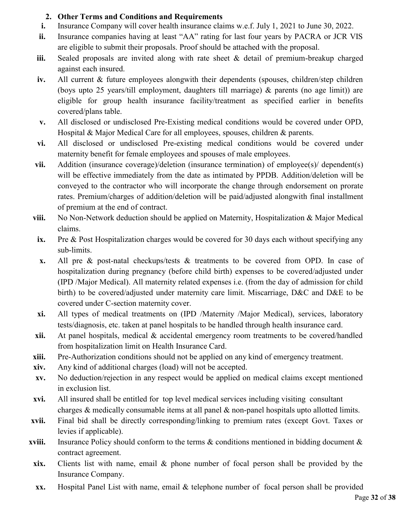#### **2. Other Terms and Conditions and Requirements**

- **i.** Insurance Company will cover health insurance claims w.e.f. July 1, 2021 to June 30, 2022.
- **ii.** Insurance companies having at least "AA" rating for last four years by PACRA or JCR VIS are eligible to submit their proposals. Proof should be attached with the proposal.
- **iii.** Sealed proposals are invited along with rate sheet & detail of premium-breakup charged against each insured.
- **iv.** All current & future employees alongwith their dependents (spouses, children/step children (boys upto 25 years/till employment, daughters till marriage) & parents (no age limit)) are eligible for group health insurance facility/treatment as specified earlier in benefits covered/plans table.
- **v.** All disclosed or undisclosed Pre-Existing medical conditions would be covered under OPD, Hospital & Major Medical Care for all employees, spouses, children & parents.
- **vi.** All disclosed or undisclosed Pre-existing medical conditions would be covered under maternity benefit for female employees and spouses of male employees.
- **vii.** Addition (insurance coverage)/deletion (insurance termination) of employee(s)/dependent(s) will be effective immediately from the date as intimated by PPDB. Addition/deletion will be conveyed to the contractor who will incorporate the change through endorsement on prorate rates. Premium/charges of addition/deletion will be paid/adjusted alongwith final installment of premium at the end of contract.
- **viii.** No Non-Network deduction should be applied on Maternity, Hospitalization & Major Medical claims.
- **ix.** Pre & Post Hospitalization charges would be covered for 30 days each without specifying any sub-limits.
- **x.** All pre & post-natal checkups/tests & treatments to be covered from OPD. In case of hospitalization during pregnancy (before child birth) expenses to be covered/adjusted under (IPD /Major Medical). All maternity related expenses i.e. (from the day of admission for child birth) to be covered/adjusted under maternity care limit. Miscarriage, D&C and D&E to be covered under C-section maternity cover.
- **xi.** All types of medical treatments on (IPD /Maternity /Major Medical), services, laboratory tests/diagnosis, etc. taken at panel hospitals to be handled through health insurance card.
- **xii.** At panel hospitals, medical & accidental emergency room treatments to be covered/handled from hospitalization limit on Health Insurance Card.
- **xiii.** Pre-Authorization conditions should not be applied on any kind of emergency treatment.
- **xiv.** Any kind of additional charges (load) will not be accepted.
- **xv.** No deduction/rejection in any respect would be applied on medical claims except mentioned in exclusion list.
- **xvi.** All insured shall be entitled for top level medical services including visiting consultant charges & medically consumable items at all panel & non-panel hospitals upto allotted limits.
- **xvii.** Final bid shall be directly corresponding/linking to premium rates (except Govt. Taxes or levies if applicable).
- **xviii.** Insurance Policy should conform to the terms & conditions mentioned in bidding document & contract agreement.
- **xix.** Clients list with name, email & phone number of focal person shall be provided by the Insurance Company.
- **xx.** Hospital Panel List with name, email & telephone number of focal person shall be provided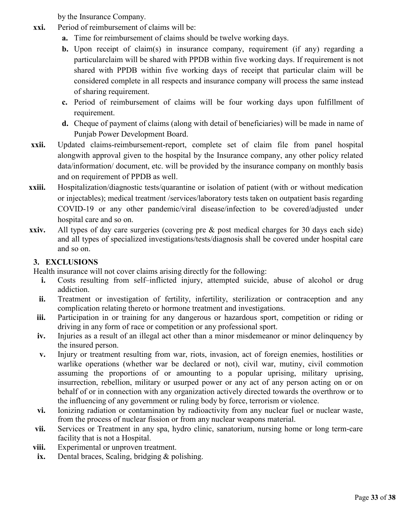by the Insurance Company.

- **xxi.** Period of reimbursement of claims will be:
	- **a.** Time for reimbursement of claims should be twelve working days.
	- **b.** Upon receipt of claim(s) in insurance company, requirement (if any) regarding a particularclaim will be shared with PPDB within five working days. If requirement is not shared with PPDB within five working days of receipt that particular claim will be considered complete in all respects and insurance company will process the same instead of sharing requirement.
	- **c.** Period of reimbursement of claims will be four working days upon fulfillment of requirement.
	- **d.** Cheque of payment of claims (along with detail of beneficiaries) will be made in name of Punjab Power Development Board.
- **xxii.** Updated claims-reimbursement-report, complete set of claim file from panel hospital alongwith approval given to the hospital by the Insurance company, any other policy related data/information/ document, etc. will be provided by the insurance company on monthly basis and on requirement of PPDB as well.
- **xxiii.** Hospitalization/diagnostic tests/quarantine or isolation of patient (with or without medication or injectables); medical treatment /services/laboratory tests taken on outpatient basis regarding COVID-19 or any other pandemic/viral disease/infection to be covered/adjusted under hospital care and so on.
- **xxiv.** All types of day care surgeries (covering pre & post medical charges for 30 days each side) and all types of specialized investigations/tests/diagnosis shall be covered under hospital care and so on.

#### **3. EXCLUSIONS**

Health insurance will not cover claims arising directly for the following:

- **i.** Costs resulting from self-inflicted injury, attempted suicide, abuse of alcohol or drug addiction.
- ii. Treatment or investigation of fertility, infertility, sterilization or contraception and any complication relating thereto or hormone treatment and investigations.
- iii. Participation in or training for any dangerous or hazardous sport, competition or riding or driving in any form of race or competition or any professional sport.
- **iv.** Injuries as a result of an illegal act other than a minor misdemeanor or minor delinquency by the insured person.
- **v.** Injury or treatment resulting from war, riots, invasion, act of foreign enemies, hostilities or warlike operations (whether war be declared or not), civil war, mutiny, civil commotion assuming the proportions of or amounting to a popular uprising, military uprising, insurrection, rebellion, military or usurped power or any act of any person acting on or on behalf of or in connection with any organization actively directed towards the overthrow or to the influencing of any government or ruling body by force, terrorism or violence.
- **vi.** Ionizing radiation or contamination by radioactivity from any nuclear fuel or nuclear waste, from the process of nuclear fission or from any nuclear weapons material.
- **vii.** Services or Treatment in any spa, hydro clinic, sanatorium, nursing home or long term-care facility that is not a Hospital.
- **viii.** Experimental or unproven treatment.
- **ix.** Dental braces, Scaling, bridging & polishing.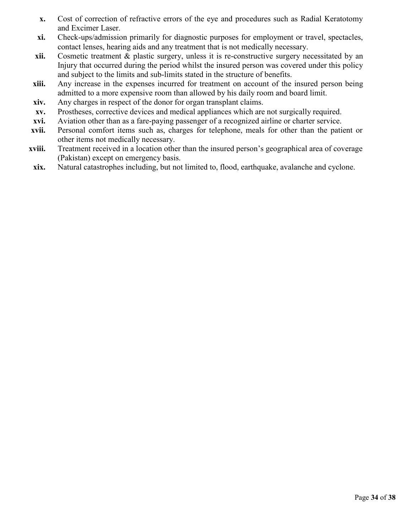- **x.** Cost of correction of refractive errors of the eye and procedures such as Radial Keratotomy and Excimer Laser.
- **xi.** Check-ups/admission primarily for diagnostic purposes for employment or travel, spectacles, contact lenses, hearing aids and any treatment that is not medically necessary.
- **xii.** Cosmetic treatment & plastic surgery, unless it is re-constructive surgery necessitated by an Injury that occurred during the period whilst the insured person was covered under this policy and subject to the limits and sub-limits stated in the structure of benefits.
- **xiii.** Any increase in the expenses incurred for treatment on account of the insured person being admitted to a more expensive room than allowed by his daily room and board limit.
- **xiv.** Any charges in respect of the donor for organ transplant claims.
- **xv.** Prostheses, corrective devices and medical appliances which are not surgically required.
- **xvi.** Aviation other than as a fare-paying passenger of a recognized airline or charter service.
- **xvii.** Personal comfort items such as, charges for telephone, meals for other than the patient or other items not medically necessary.
- **xviii.** Treatment received in a location other than the insured person's geographical area of coverage (Pakistan) except on emergency basis.
- **xix.** Natural catastrophes including, but not limited to, flood, earthquake, avalanche and cyclone.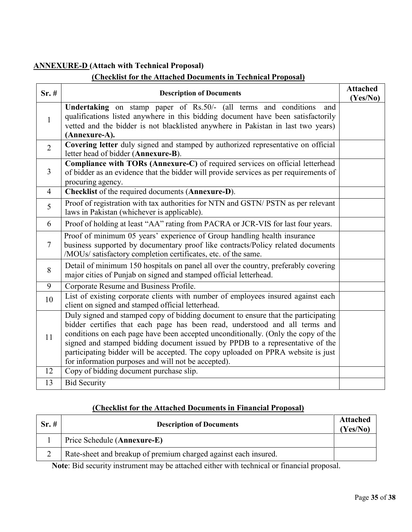#### **ANNEXURE-D (Attach with Technical Proposal)**

#### **(Checklist for the Attached Documents in Technical Proposal)**

| Sr.#           | <b>Description of Documents</b>                                                                                                                                                                                                                                                                                                                                                                                                                                                   | <b>Attached</b><br>(Yes/No) |
|----------------|-----------------------------------------------------------------------------------------------------------------------------------------------------------------------------------------------------------------------------------------------------------------------------------------------------------------------------------------------------------------------------------------------------------------------------------------------------------------------------------|-----------------------------|
| $\mathbf{1}$   | Undertaking on stamp paper of Rs.50/- (all terms and conditions<br>and<br>qualifications listed anywhere in this bidding document have been satisfactorily<br>vetted and the bidder is not blacklisted anywhere in Pakistan in last two years)<br>(Annexure-A).                                                                                                                                                                                                                   |                             |
| $\overline{2}$ | Covering letter duly signed and stamped by authorized representative on official<br>letter head of bidder (Annexure-B).                                                                                                                                                                                                                                                                                                                                                           |                             |
| $\overline{3}$ | Compliance with TORs (Annexure-C) of required services on official letterhead<br>of bidder as an evidence that the bidder will provide services as per requirements of<br>procuring agency.                                                                                                                                                                                                                                                                                       |                             |
| $\overline{4}$ | Checklist of the required documents (Annexure-D).                                                                                                                                                                                                                                                                                                                                                                                                                                 |                             |
| 5              | Proof of registration with tax authorities for NTN and GSTN/ PSTN as per relevant<br>laws in Pakistan (whichever is applicable).                                                                                                                                                                                                                                                                                                                                                  |                             |
| 6              | Proof of holding at least "AA" rating from PACRA or JCR-VIS for last four years.                                                                                                                                                                                                                                                                                                                                                                                                  |                             |
| $\overline{7}$ | Proof of minimum 05 years' experience of Group handling health insurance<br>business supported by documentary proof like contracts/Policy related documents<br>/MOUs/ satisfactory completion certificates, etc. of the same.                                                                                                                                                                                                                                                     |                             |
| 8              | Detail of minimum 150 hospitals on panel all over the country, preferably covering<br>major cities of Punjab on signed and stamped official letterhead.                                                                                                                                                                                                                                                                                                                           |                             |
| 9              | Corporate Resume and Business Profile.                                                                                                                                                                                                                                                                                                                                                                                                                                            |                             |
| 10             | List of existing corporate clients with number of employees insured against each<br>client on signed and stamped official letterhead.                                                                                                                                                                                                                                                                                                                                             |                             |
| 11             | Duly signed and stamped copy of bidding document to ensure that the participating<br>bidder certifies that each page has been read, understood and all terms and<br>conditions on each page have been accepted unconditionally. (Only the copy of the<br>signed and stamped bidding document issued by PPDB to a representative of the<br>participating bidder will be accepted. The copy uploaded on PPRA website is just<br>for information purposes and will not be accepted). |                             |
| 12             | Copy of bidding document purchase slip.                                                                                                                                                                                                                                                                                                                                                                                                                                           |                             |
| 13             | <b>Bid Security</b>                                                                                                                                                                                                                                                                                                                                                                                                                                                               |                             |

#### **(Checklist for the Attached Documents in Financial Proposal)**

| Sr.# | <b>Description of Documents</b>                                 | <b>Attached</b><br>(Yes/No) |
|------|-----------------------------------------------------------------|-----------------------------|
|      | Price Schedule (Annexure-E)                                     |                             |
|      | Rate-sheet and breakup of premium charged against each insured. |                             |

**Note**: Bid security instrument may be attached either with technical or financial proposal.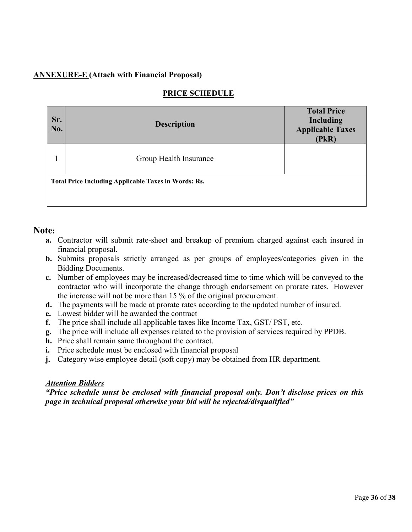#### **ANNEXURE-E (Attach with Financial Proposal)**

| Sr.<br>No. | <b>Description</b>                                          | <b>Total Price</b><br>Including<br><b>Applicable Taxes</b><br>(PkR) |  |  |  |
|------------|-------------------------------------------------------------|---------------------------------------------------------------------|--|--|--|
|            | Group Health Insurance                                      |                                                                     |  |  |  |
|            | <b>Total Price Including Applicable Taxes in Words: Rs.</b> |                                                                     |  |  |  |

#### **Note:**

- **a.** Contractor will submit rate-sheet and breakup of premium charged against each insured in financial proposal.
- **b.** Submits proposals strictly arranged as per groups of employees/categories given in the Bidding Documents.
- **c.** Number of employees may be increased/decreased time to time which will be conveyed to the contractor who will incorporate the change through endorsement on prorate rates. However the increase will not be more than 15 % of the original procurement.
- **d.** The payments will be made at prorate rates according to the updated number of insured.
- **e.** Lowest bidder will be awarded the contract
- **f.** The price shall include all applicable taxes like Income Tax, GST/ PST, etc.
- **g.** The price will include all expenses related to the provision of services required by PPDB.
- **h.** Price shall remain same throughout the contract.
- **i.** Price schedule must be enclosed with financial proposal
- **j.** Category wise employee detail (soft copy) may be obtained from HR department.

#### *Attention Bidders*

*"Price schedule must be enclosed with financial proposal only. Don't disclose prices on this page in technical proposal otherwise your bid will be rejected/disqualified"*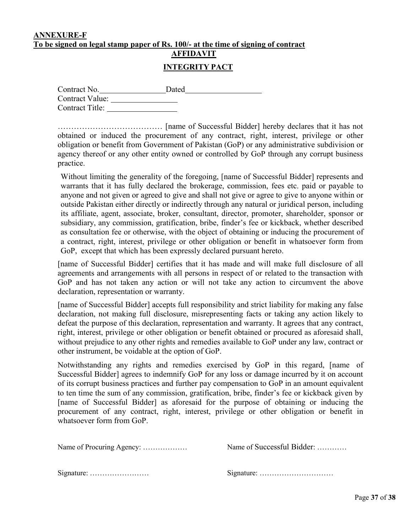## **ANNEXURE-F To be signed on legal stamp paper of Rs. 100/- at the time of signing of contract**

# **AFFIDAVIT**

#### **INTEGRITY PACT**

| Contract No.           | Dated |  |
|------------------------|-------|--|
| <b>Contract Value:</b> |       |  |
| Contract Title:        |       |  |

………………………………… [name of Successful Bidder] hereby declares that it has not obtained or induced the procurement of any contract, right, interest, privilege or other obligation or benefit from Government of Pakistan (GoP) or any administrative subdivision or agency thereof or any other entity owned or controlled by GoP through any corrupt business practice.

Without limiting the generality of the foregoing, [name of Successful Bidder] represents and warrants that it has fully declared the brokerage, commission, fees etc. paid or payable to anyone and not given or agreed to give and shall not give or agree to give to anyone within or outside Pakistan either directly or indirectly through any natural or juridical person, including its affiliate, agent, associate, broker, consultant, director, promoter, shareholder, sponsor or subsidiary, any commission, gratification, bribe, finder's fee or kickback, whether described as consultation fee or otherwise, with the object of obtaining or inducing the procurement of a contract, right, interest, privilege or other obligation or benefit in whatsoever form from GoP, except that which has been expressly declared pursuant hereto.

[name of Successful Bidder] certifies that it has made and will make full disclosure of all agreements and arrangements with all persons in respect of or related to the transaction with GoP and has not taken any action or will not take any action to circumvent the above declaration, representation or warranty.

[name of Successful Bidder] accepts full responsibility and strict liability for making any false declaration, not making full disclosure, misrepresenting facts or taking any action likely to defeat the purpose of this declaration, representation and warranty. It agrees that any contract, right, interest, privilege or other obligation or benefit obtained or procured as aforesaid shall, without prejudice to any other rights and remedies available to GoP under any law, contract or other instrument, be voidable at the option of GoP.

Notwithstanding any rights and remedies exercised by GoP in this regard, [name of Successful Bidder] agrees to indemnify GoP for any loss or damage incurred by it on account of its corrupt business practices and further pay compensation to GoP in an amount equivalent to ten time the sum of any commission, gratification, bribe, finder's fee or kickback given by [name of Successful Bidder] as aforesaid for the purpose of obtaining or inducing the procurement of any contract, right, interest, privilege or other obligation or benefit in whatsoever form from GoP

|                                                        | Name of Successful Bidder: |  |  |
|--------------------------------------------------------|----------------------------|--|--|
|                                                        |                            |  |  |
| Signature: $\dots \dots \dots \dots \dots \dots \dots$ |                            |  |  |